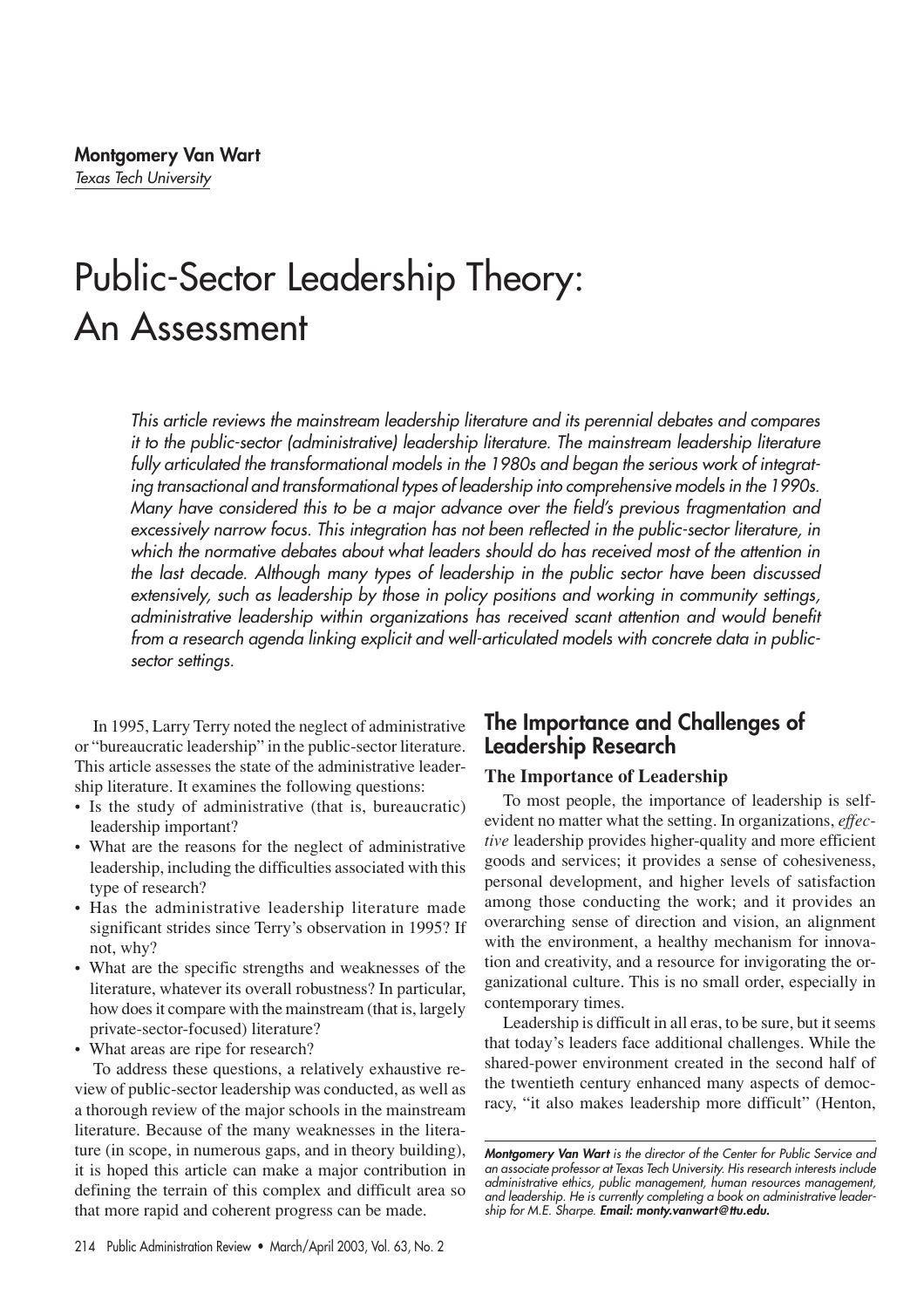# Public-Sector Leadership Theory: An Assessment

This article reviews the mainstream leadership literature and its perennial debates and compares it to the public-sector (administrative) leadership literature. The mainstream leadership literature fully articulated the transformational models in the 1980s and began the serious work of integrating transactional and transformational types of leadership into comprehensive models in the 1990s. Many have considered this to be a major advance over the field's previous fragmentation and excessively narrow focus. This integration has not been reflected in the public-sector literature, in which the normative debates about what leaders should do has received most of the attention in the last decade. Although many types of leadership in the public sector have been discussed extensively, such as leadership by those in policy positions and working in community settings, administrative leadership within organizations has received scant attention and would benefit from a research agenda linking explicit and well-articulated models with concrete data in publicsector settings.

In 1995, Larry Terry noted the neglect of administrative or "bureaucratic leadership" in the public-sector literature. This article assesses the state of the administrative leadership literature. It examines the following questions:

- Is the study of administrative (that is, bureaucratic) leadership important?
- What are the reasons for the neglect of administrative leadership, including the difficulties associated with this type of research?
- Has the administrative leadership literature made significant strides since Terry's observation in 1995? If not, why?
- What are the specific strengths and weaknesses of the literature, whatever its overall robustness? In particular, how does it compare with the mainstream (that is, largely private-sector-focused) literature?
- What areas are ripe for research?

To address these questions, a relatively exhaustive review of public-sector leadership was conducted, as well as a thorough review of the major schools in the mainstream literature. Because of the many weaknesses in the literature (in scope, in numerous gaps, and in theory building), it is hoped this article can make a major contribution in defining the terrain of this complex and difficult area so that more rapid and coherent progress can be made.

## **The Importance and Challenges of Leadership Research**

#### **The Importance of Leadership**

To most people, the importance of leadership is selfevident no matter what the setting. In organizations, *effective* leadership provides higher-quality and more efficient goods and services; it provides a sense of cohesiveness, personal development, and higher levels of satisfaction among those conducting the work; and it provides an overarching sense of direction and vision, an alignment with the environment, a healthy mechanism for innovation and creativity, and a resource for invigorating the organizational culture. This is no small order, especially in contemporary times.

Leadership is difficult in all eras, to be sure, but it seems that today's leaders face additional challenges. While the shared-power environment created in the second half of the twentieth century enhanced many aspects of democracy, "it also makes leadership more difficult" (Henton,

**Montgomery Van Wart** is the director of the Center for Public Service and an associate professor at Texas Tech University. His research interests include administrative ethics, public management, human resources management, and leadership. He is currently completing a book on administrative leadership for M.E. Sharpe. **Email: monty.vanwart@ttu.edu.**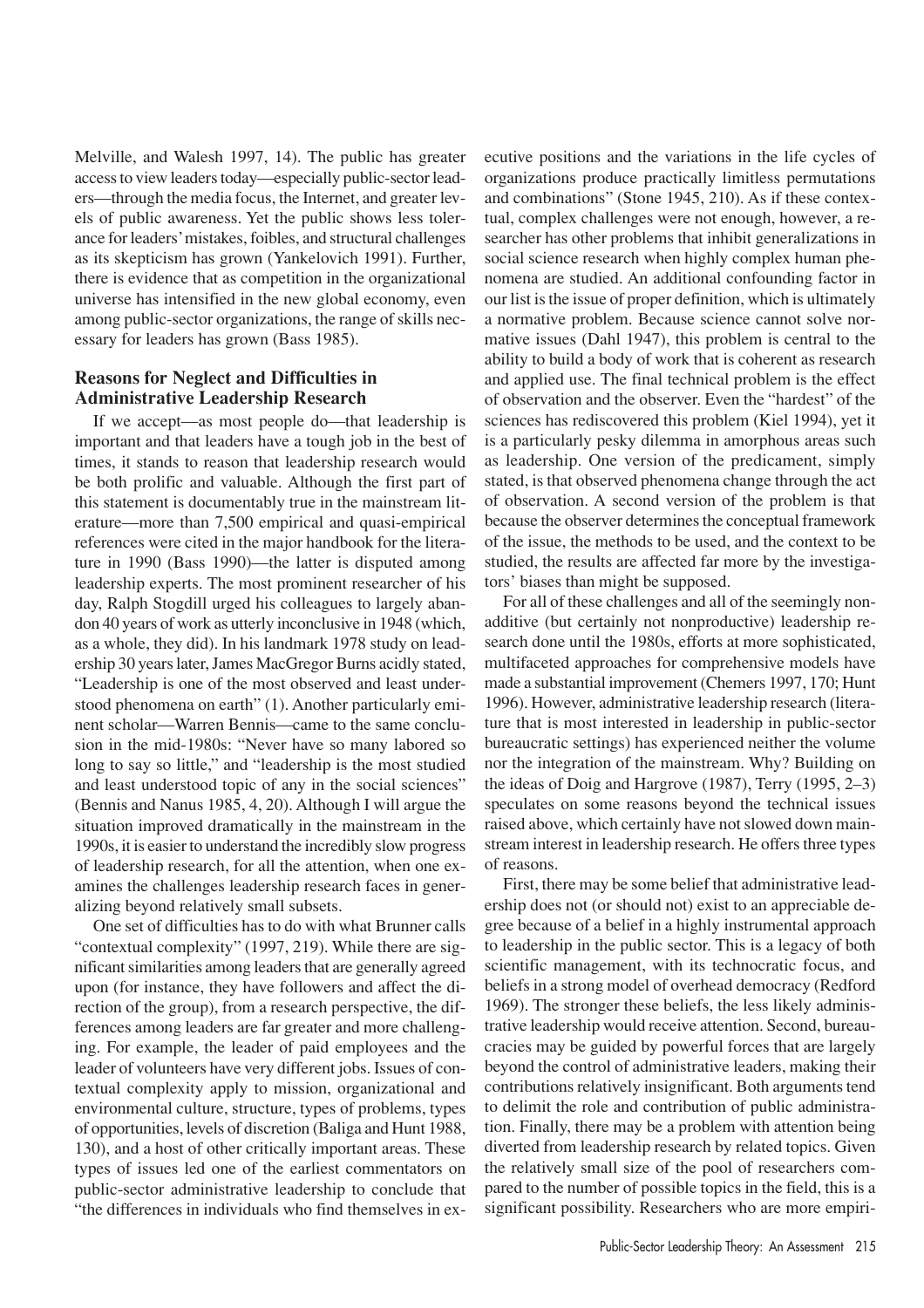Melville, and Walesh 1997, 14). The public has greater access to view leaders today—especially public-sector leaders—through the media focus, the Internet, and greater levels of public awareness. Yet the public shows less tolerance for leaders' mistakes, foibles, and structural challenges as its skepticism has grown (Yankelovich 1991). Further, there is evidence that as competition in the organizational universe has intensified in the new global economy, even among public-sector organizations, the range of skills necessary for leaders has grown (Bass 1985).

#### **Reasons for Neglect and Difficulties in Administrative Leadership Research**

If we accept—as most people do—that leadership is important and that leaders have a tough job in the best of times, it stands to reason that leadership research would be both prolific and valuable. Although the first part of this statement is documentably true in the mainstream literature—more than 7,500 empirical and quasi-empirical references were cited in the major handbook for the literature in 1990 (Bass 1990)—the latter is disputed among leadership experts. The most prominent researcher of his day, Ralph Stogdill urged his colleagues to largely abandon 40 years of work as utterly inconclusive in 1948 (which, as a whole, they did). In his landmark 1978 study on leadership 30 years later, James MacGregor Burns acidly stated, "Leadership is one of the most observed and least understood phenomena on earth" (1). Another particularly eminent scholar—Warren Bennis—came to the same conclusion in the mid-1980s: "Never have so many labored so long to say so little," and "leadership is the most studied and least understood topic of any in the social sciences" (Bennis and Nanus 1985, 4, 20). Although I will argue the situation improved dramatically in the mainstream in the 1990s, it is easier to understand the incredibly slow progress of leadership research, for all the attention, when one examines the challenges leadership research faces in generalizing beyond relatively small subsets.

One set of difficulties has to do with what Brunner calls "contextual complexity" (1997, 219). While there are significant similarities among leaders that are generally agreed upon (for instance, they have followers and affect the direction of the group), from a research perspective, the differences among leaders are far greater and more challenging. For example, the leader of paid employees and the leader of volunteers have very different jobs. Issues of contextual complexity apply to mission, organizational and environmental culture, structure, types of problems, types of opportunities, levels of discretion (Baliga and Hunt 1988, 130), and a host of other critically important areas. These types of issues led one of the earliest commentators on public-sector administrative leadership to conclude that "the differences in individuals who find themselves in executive positions and the variations in the life cycles of organizations produce practically limitless permutations and combinations" (Stone 1945, 210). As if these contextual, complex challenges were not enough, however, a researcher has other problems that inhibit generalizations in social science research when highly complex human phenomena are studied. An additional confounding factor in our list is the issue of proper definition, which is ultimately a normative problem. Because science cannot solve normative issues (Dahl 1947), this problem is central to the ability to build a body of work that is coherent as research and applied use. The final technical problem is the effect of observation and the observer. Even the "hardest" of the sciences has rediscovered this problem (Kiel 1994), yet it is a particularly pesky dilemma in amorphous areas such as leadership. One version of the predicament, simply stated, is that observed phenomena change through the act of observation. A second version of the problem is that because the observer determines the conceptual framework of the issue, the methods to be used, and the context to be studied, the results are affected far more by the investigators' biases than might be supposed.

For all of these challenges and all of the seemingly nonadditive (but certainly not nonproductive) leadership research done until the 1980s, efforts at more sophisticated, multifaceted approaches for comprehensive models have made a substantial improvement (Chemers 1997, 170; Hunt 1996). However, administrative leadership research (literature that is most interested in leadership in public-sector bureaucratic settings) has experienced neither the volume nor the integration of the mainstream. Why? Building on the ideas of Doig and Hargrove (1987), Terry (1995, 2–3) speculates on some reasons beyond the technical issues raised above, which certainly have not slowed down mainstream interest in leadership research. He offers three types of reasons.

First, there may be some belief that administrative leadership does not (or should not) exist to an appreciable degree because of a belief in a highly instrumental approach to leadership in the public sector. This is a legacy of both scientific management, with its technocratic focus, and beliefs in a strong model of overhead democracy (Redford 1969). The stronger these beliefs, the less likely administrative leadership would receive attention. Second, bureaucracies may be guided by powerful forces that are largely beyond the control of administrative leaders, making their contributions relatively insignificant. Both arguments tend to delimit the role and contribution of public administration. Finally, there may be a problem with attention being diverted from leadership research by related topics. Given the relatively small size of the pool of researchers compared to the number of possible topics in the field, this is a significant possibility. Researchers who are more empiri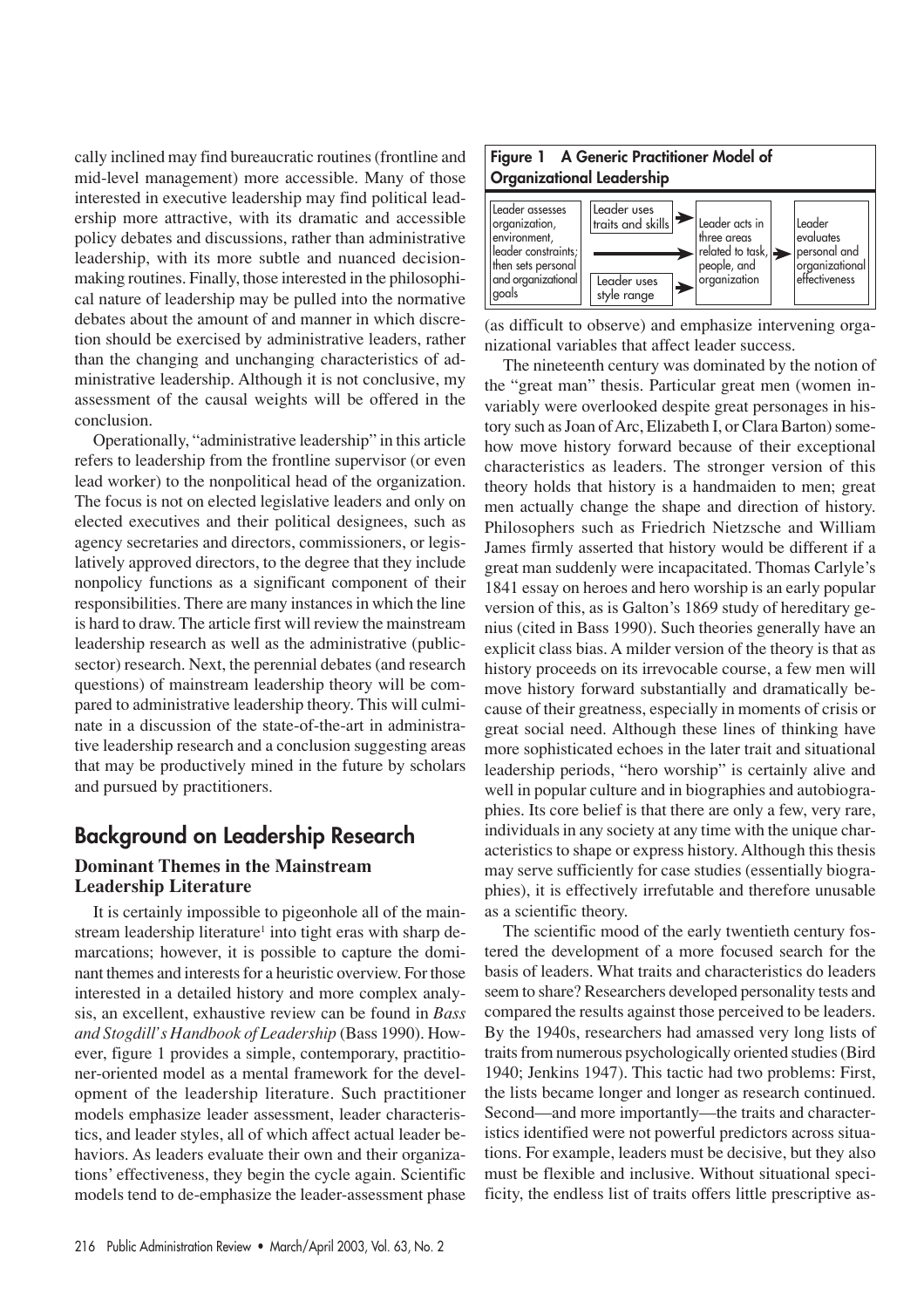cally inclined may find bureaucratic routines (frontline and mid-level management) more accessible. Many of those interested in executive leadership may find political leadership more attractive, with its dramatic and accessible policy debates and discussions, rather than administrative leadership, with its more subtle and nuanced decisionmaking routines. Finally, those interested in the philosophical nature of leadership may be pulled into the normative debates about the amount of and manner in which discretion should be exercised by administrative leaders, rather than the changing and unchanging characteristics of administrative leadership. Although it is not conclusive, my assessment of the causal weights will be offered in the conclusion.

Operationally, "administrative leadership" in this article refers to leadership from the frontline supervisor (or even lead worker) to the nonpolitical head of the organization. The focus is not on elected legislative leaders and only on elected executives and their political designees, such as agency secretaries and directors, commissioners, or legislatively approved directors, to the degree that they include nonpolicy functions as a significant component of their responsibilities. There are many instances in which the line is hard to draw. The article first will review the mainstream leadership research as well as the administrative (publicsector) research. Next, the perennial debates (and research questions) of mainstream leadership theory will be compared to administrative leadership theory. This will culminate in a discussion of the state-of-the-art in administrative leadership research and a conclusion suggesting areas that may be productively mined in the future by scholars and pursued by practitioners.

# **Background on Leadership Research**

## **Dominant Themes in the Mainstream Leadership Literature**

It is certainly impossible to pigeonhole all of the mainstream leadership literature<sup>1</sup> into tight eras with sharp demarcations; however, it is possible to capture the dominant themes and interests for a heuristic overview. For those interested in a detailed history and more complex analysis, an excellent, exhaustive review can be found in *Bass and Stogdill's Handbook of Leadership* (Bass 1990). However, figure 1 provides a simple, contemporary, practitioner-oriented model as a mental framework for the development of the leadership literature. Such practitioner models emphasize leader assessment, leader characteristics, and leader styles, all of which affect actual leader behaviors. As leaders evaluate their own and their organizations' effectiveness, they begin the cycle again. Scientific models tend to de-emphasize the leader-assessment phase



(as difficult to observe) and emphasize intervening organizational variables that affect leader success.

The nineteenth century was dominated by the notion of the "great man" thesis. Particular great men (women invariably were overlooked despite great personages in history such as Joan of Arc, Elizabeth I, or Clara Barton) somehow move history forward because of their exceptional characteristics as leaders. The stronger version of this theory holds that history is a handmaiden to men; great men actually change the shape and direction of history. Philosophers such as Friedrich Nietzsche and William James firmly asserted that history would be different if a great man suddenly were incapacitated. Thomas Carlyle's 1841 essay on heroes and hero worship is an early popular version of this, as is Galton's 1869 study of hereditary genius (cited in Bass 1990). Such theories generally have an explicit class bias. A milder version of the theory is that as history proceeds on its irrevocable course, a few men will move history forward substantially and dramatically because of their greatness, especially in moments of crisis or great social need. Although these lines of thinking have more sophisticated echoes in the later trait and situational leadership periods, "hero worship" is certainly alive and well in popular culture and in biographies and autobiographies. Its core belief is that there are only a few, very rare, individuals in any society at any time with the unique characteristics to shape or express history. Although this thesis may serve sufficiently for case studies (essentially biographies), it is effectively irrefutable and therefore unusable as a scientific theory.

The scientific mood of the early twentieth century fostered the development of a more focused search for the basis of leaders. What traits and characteristics do leaders seem to share? Researchers developed personality tests and compared the results against those perceived to be leaders. By the 1940s, researchers had amassed very long lists of traits from numerous psychologically oriented studies (Bird 1940; Jenkins 1947). This tactic had two problems: First, the lists became longer and longer as research continued. Second—and more importantly—the traits and characteristics identified were not powerful predictors across situations. For example, leaders must be decisive, but they also must be flexible and inclusive. Without situational specificity, the endless list of traits offers little prescriptive as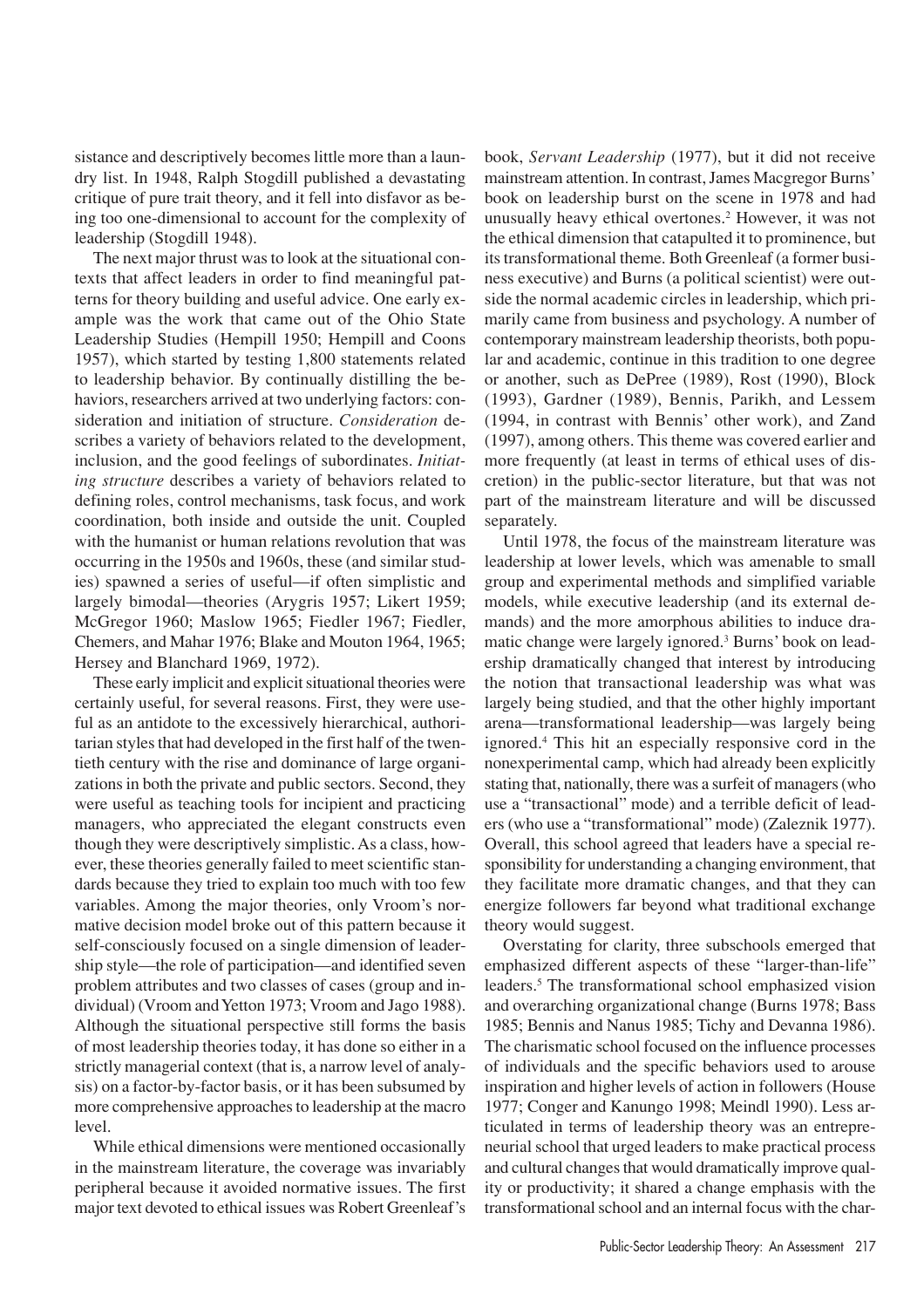sistance and descriptively becomes little more than a laundry list. In 1948, Ralph Stogdill published a devastating critique of pure trait theory, and it fell into disfavor as being too one-dimensional to account for the complexity of leadership (Stogdill 1948).

The next major thrust was to look at the situational contexts that affect leaders in order to find meaningful patterns for theory building and useful advice. One early example was the work that came out of the Ohio State Leadership Studies (Hempill 1950; Hempill and Coons 1957), which started by testing 1,800 statements related to leadership behavior. By continually distilling the behaviors, researchers arrived at two underlying factors: consideration and initiation of structure. *Consideration* describes a variety of behaviors related to the development, inclusion, and the good feelings of subordinates. *Initiating structure* describes a variety of behaviors related to defining roles, control mechanisms, task focus, and work coordination, both inside and outside the unit. Coupled with the humanist or human relations revolution that was occurring in the 1950s and 1960s, these (and similar studies) spawned a series of useful—if often simplistic and largely bimodal—theories (Arygris 1957; Likert 1959; McGregor 1960; Maslow 1965; Fiedler 1967; Fiedler, Chemers, and Mahar 1976; Blake and Mouton 1964, 1965; Hersey and Blanchard 1969, 1972).

These early implicit and explicit situational theories were certainly useful, for several reasons. First, they were useful as an antidote to the excessively hierarchical, authoritarian styles that had developed in the first half of the twentieth century with the rise and dominance of large organizations in both the private and public sectors. Second, they were useful as teaching tools for incipient and practicing managers, who appreciated the elegant constructs even though they were descriptively simplistic. As a class, however, these theories generally failed to meet scientific standards because they tried to explain too much with too few variables. Among the major theories, only Vroom's normative decision model broke out of this pattern because it self-consciously focused on a single dimension of leadership style—the role of participation—and identified seven problem attributes and two classes of cases (group and individual) (Vroom and Yetton 1973; Vroom and Jago 1988). Although the situational perspective still forms the basis of most leadership theories today, it has done so either in a strictly managerial context (that is, a narrow level of analysis) on a factor-by-factor basis, or it has been subsumed by more comprehensive approaches to leadership at the macro level.

While ethical dimensions were mentioned occasionally in the mainstream literature, the coverage was invariably peripheral because it avoided normative issues. The first major text devoted to ethical issues was Robert Greenleaf's book, *Servant Leadership* (1977), but it did not receive mainstream attention. In contrast, James Macgregor Burns' book on leadership burst on the scene in 1978 and had unusually heavy ethical overtones.2 However, it was not the ethical dimension that catapulted it to prominence, but its transformational theme. Both Greenleaf (a former business executive) and Burns (a political scientist) were outside the normal academic circles in leadership, which primarily came from business and psychology. A number of contemporary mainstream leadership theorists, both popular and academic, continue in this tradition to one degree or another, such as DePree (1989), Rost (1990), Block (1993), Gardner (1989), Bennis, Parikh, and Lessem (1994, in contrast with Bennis' other work), and Zand (1997), among others. This theme was covered earlier and more frequently (at least in terms of ethical uses of discretion) in the public-sector literature, but that was not part of the mainstream literature and will be discussed separately.

Until 1978, the focus of the mainstream literature was leadership at lower levels, which was amenable to small group and experimental methods and simplified variable models, while executive leadership (and its external demands) and the more amorphous abilities to induce dramatic change were largely ignored.3 Burns' book on leadership dramatically changed that interest by introducing the notion that transactional leadership was what was largely being studied, and that the other highly important arena—transformational leadership—was largely being ignored.4 This hit an especially responsive cord in the nonexperimental camp, which had already been explicitly stating that, nationally, there was a surfeit of managers (who use a "transactional" mode) and a terrible deficit of leaders (who use a "transformational" mode) (Zaleznik 1977). Overall, this school agreed that leaders have a special responsibility for understanding a changing environment, that they facilitate more dramatic changes, and that they can energize followers far beyond what traditional exchange theory would suggest.

Overstating for clarity, three subschools emerged that emphasized different aspects of these "larger-than-life" leaders.5 The transformational school emphasized vision and overarching organizational change (Burns 1978; Bass 1985; Bennis and Nanus 1985; Tichy and Devanna 1986). The charismatic school focused on the influence processes of individuals and the specific behaviors used to arouse inspiration and higher levels of action in followers (House 1977; Conger and Kanungo 1998; Meindl 1990). Less articulated in terms of leadership theory was an entrepreneurial school that urged leaders to make practical process and cultural changes that would dramatically improve quality or productivity; it shared a change emphasis with the transformational school and an internal focus with the char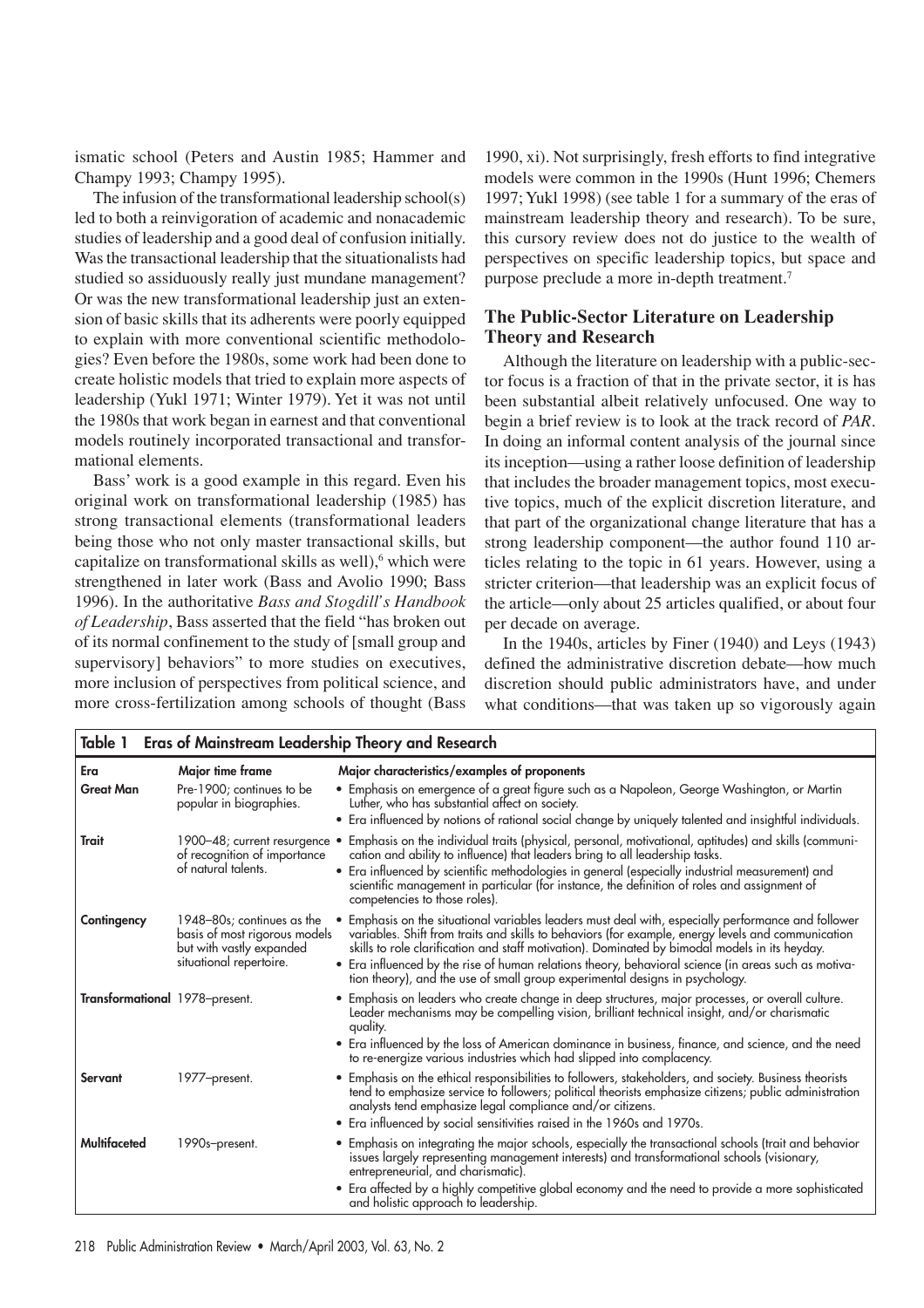ismatic school (Peters and Austin 1985; Hammer and Champy 1993; Champy 1995).

The infusion of the transformational leadership school(s) led to both a reinvigoration of academic and nonacademic studies of leadership and a good deal of confusion initially. Was the transactional leadership that the situationalists had studied so assiduously really just mundane management? Or was the new transformational leadership just an extension of basic skills that its adherents were poorly equipped to explain with more conventional scientific methodologies? Even before the 1980s, some work had been done to create holistic models that tried to explain more aspects of leadership (Yukl 1971; Winter 1979). Yet it was not until the 1980s that work began in earnest and that conventional models routinely incorporated transactional and transformational elements.

Bass' work is a good example in this regard. Even his original work on transformational leadership (1985) has strong transactional elements (transformational leaders being those who not only master transactional skills, but capitalize on transformational skills as well), $\delta$  which were strengthened in later work (Bass and Avolio 1990; Bass 1996). In the authoritative *Bass and Stogdill's Handbook of Leadership*, Bass asserted that the field "has broken out of its normal confinement to the study of [small group and supervisory] behaviors" to more studies on executives, more inclusion of perspectives from political science, and more cross-fertilization among schools of thought (Bass

1990, xi). Not surprisingly, fresh efforts to find integrative models were common in the 1990s (Hunt 1996; Chemers 1997; Yukl 1998) (see table 1 for a summary of the eras of mainstream leadership theory and research). To be sure, this cursory review does not do justice to the wealth of perspectives on specific leadership topics, but space and purpose preclude a more in-depth treatment.7

#### **The Public-Sector Literature on Leadership Theory and Research**

Although the literature on leadership with a public-sector focus is a fraction of that in the private sector, it is has been substantial albeit relatively unfocused. One way to begin a brief review is to look at the track record of *PAR*. In doing an informal content analysis of the journal since its inception—using a rather loose definition of leadership that includes the broader management topics, most executive topics, much of the explicit discretion literature, and that part of the organizational change literature that has a strong leadership component—the author found 110 articles relating to the topic in 61 years. However, using a stricter criterion—that leadership was an explicit focus of the article—only about 25 articles qualified, or about four per decade on average.

In the 1940s, articles by Finer (1940) and Leys (1943) defined the administrative discretion debate—how much discretion should public administrators have, and under what conditions—that was taken up so vigorously again

| Table 1<br>Eras of Mainstream Leadership Theory and Research |                                                                                                                    |                                                                                                                                                                                                                                                                                                                                                                                                                                                                                                                |
|--------------------------------------------------------------|--------------------------------------------------------------------------------------------------------------------|----------------------------------------------------------------------------------------------------------------------------------------------------------------------------------------------------------------------------------------------------------------------------------------------------------------------------------------------------------------------------------------------------------------------------------------------------------------------------------------------------------------|
| Era                                                          | Major time frame                                                                                                   | Major characteristics/examples of proponents                                                                                                                                                                                                                                                                                                                                                                                                                                                                   |
| <b>Great Man</b>                                             | Pre-1900; continues to be<br>popular in biographies.                                                               | • Emphasis on emergence of a great figure such as a Napoleon, George Washington, or Martin<br>Luther, who has substantial affect on society.<br>• Era influenced by notions of rational social change by uniquely talented and insightful individuals.                                                                                                                                                                                                                                                         |
| Trait                                                        | 1900-48; current resurgence ·<br>of recognition of importance<br>of natural talents.                               | Emphasis on the individual traits (physical, personal, motivational, aptitudes) and skills (communi-<br>cation and ability to influence) that leaders bring to all leadership tasks.<br>• Era influenced by scientific methodologies in general (especially industrial measurement) and<br>scientific management in particular (for instance, the definition of roles and assignment of<br>competencies to those roles).                                                                                       |
| Contingency                                                  | 1948–80s; continues as the<br>basis of most rigorous models<br>but with vastly expanded<br>situational repertoire. | Emphasis on the situational variables leaders must deal with, especially performance and follower<br>$\bullet$<br>variables. Shift from traits and skills to behaviors (for example, energy levels and communication<br>skills to role clarification and staff motivation). Dominated by bimodal models in its heyday.<br>• Era influenced by the rise of human relations theory, behavioral science (in areas such as motiva-<br>tion theory), and the use of small group experimental designs in psychology. |
| Transformational 1978-present.                               |                                                                                                                    | · Emphasis on leaders who create change in deep structures, major processes, or overall culture.<br>Leader mechanisms may be compelling vision, brilliant technical insight, and/or charismatic<br>quality.<br>• Era influenced by the loss of American dominance in business, finance, and science, and the need<br>to re-energize various industries which had slipped into complacency.                                                                                                                     |
| Servant                                                      | 1977-present.                                                                                                      | • Emphasis on the ethical responsibilities to followers, stakeholders, and society. Business theorists<br>tend to emphasize service to followers; political theorists emphasize citizens; public administration<br>analysts tend emphasize legal compliance and/or citizens.<br>• Era influenced by social sensitivities raised in the 1960s and 1970s.                                                                                                                                                        |
| Multifaceted                                                 | 1990s-present.                                                                                                     | • Emphasis on integrating the major schools, especially the transactional schools (trait and behavior<br>issues largely representing management interests) and transformational schools (visionary,<br>entrepreneurial, and charismatic).<br>• Era affected by a highly competitive global economy and the need to provide a more sophisticated<br>and holistic approach to leadership.                                                                                                                        |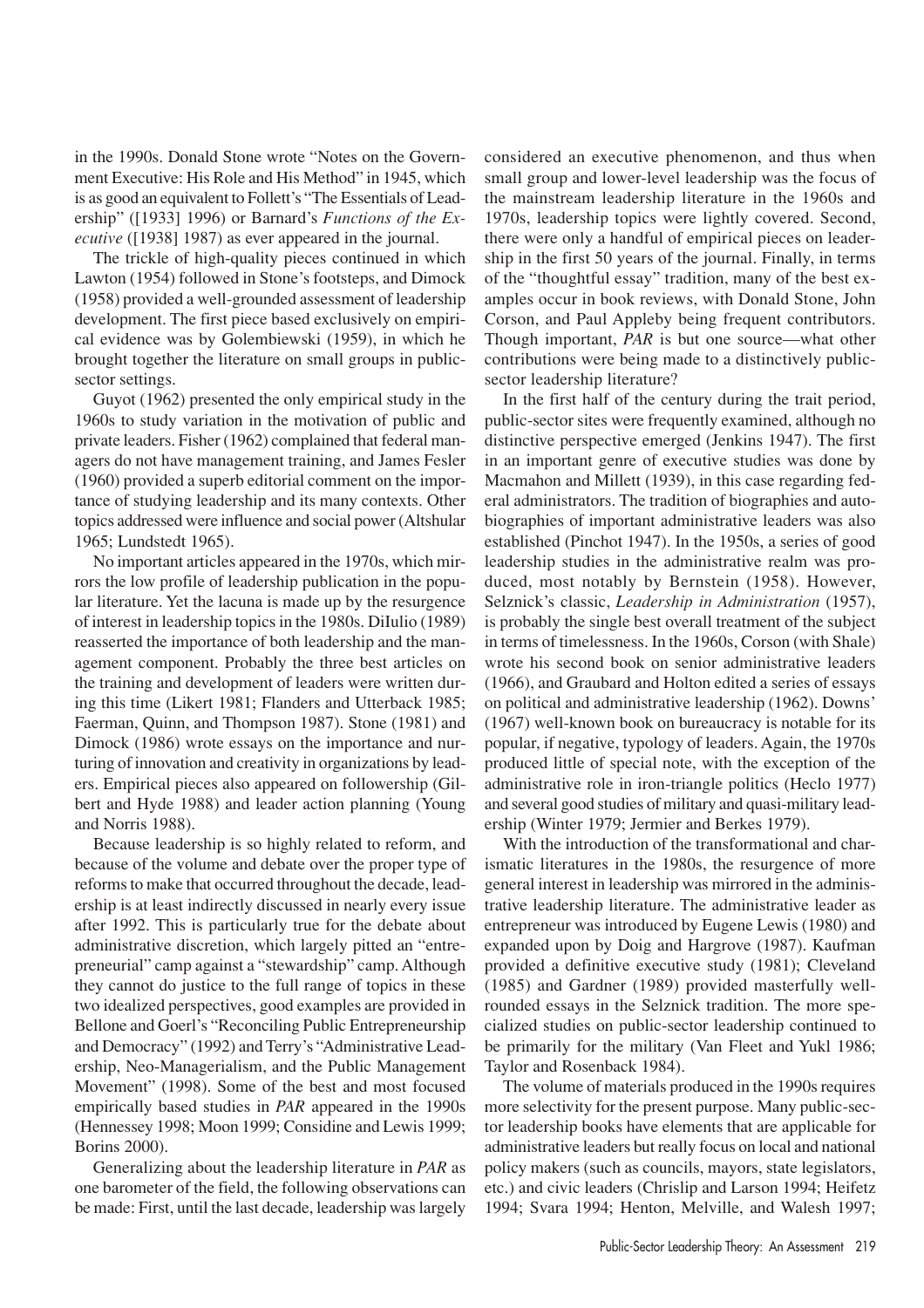in the 1990s. Donald Stone wrote "Notes on the Government Executive: His Role and His Method" in 1945, which is as good an equivalent to Follett's "The Essentials of Leadership" ([1933] 1996) or Barnard's *Functions of the Executive* ([1938] 1987) as ever appeared in the journal.

The trickle of high-quality pieces continued in which Lawton (1954) followed in Stone's footsteps, and Dimock (1958) provided a well-grounded assessment of leadership development. The first piece based exclusively on empirical evidence was by Golembiewski (1959), in which he brought together the literature on small groups in publicsector settings.

Guyot (1962) presented the only empirical study in the 1960s to study variation in the motivation of public and private leaders. Fisher (1962) complained that federal managers do not have management training, and James Fesler (1960) provided a superb editorial comment on the importance of studying leadership and its many contexts. Other topics addressed were influence and social power (Altshular 1965; Lundstedt 1965).

No important articles appeared in the 1970s, which mirrors the low profile of leadership publication in the popular literature. Yet the lacuna is made up by the resurgence of interest in leadership topics in the 1980s. DiIulio (1989) reasserted the importance of both leadership and the management component. Probably the three best articles on the training and development of leaders were written during this time (Likert 1981; Flanders and Utterback 1985; Faerman, Quinn, and Thompson 1987). Stone (1981) and Dimock (1986) wrote essays on the importance and nurturing of innovation and creativity in organizations by leaders. Empirical pieces also appeared on followership (Gilbert and Hyde 1988) and leader action planning (Young and Norris 1988).

Because leadership is so highly related to reform, and because of the volume and debate over the proper type of reforms to make that occurred throughout the decade, leadership is at least indirectly discussed in nearly every issue after 1992. This is particularly true for the debate about administrative discretion, which largely pitted an "entrepreneurial" camp against a "stewardship" camp. Although they cannot do justice to the full range of topics in these two idealized perspectives, good examples are provided in Bellone and Goerl's "Reconciling Public Entrepreneurship and Democracy" (1992) and Terry's "Administrative Leadership, Neo-Managerialism, and the Public Management Movement" (1998). Some of the best and most focused empirically based studies in *PAR* appeared in the 1990s (Hennessey 1998; Moon 1999; Considine and Lewis 1999; Borins 2000).

Generalizing about the leadership literature in *PAR* as one barometer of the field, the following observations can be made: First, until the last decade, leadership was largely considered an executive phenomenon, and thus when small group and lower-level leadership was the focus of the mainstream leadership literature in the 1960s and 1970s, leadership topics were lightly covered. Second, there were only a handful of empirical pieces on leadership in the first 50 years of the journal. Finally, in terms of the "thoughtful essay" tradition, many of the best examples occur in book reviews, with Donald Stone, John Corson, and Paul Appleby being frequent contributors. Though important, *PAR* is but one source—what other contributions were being made to a distinctively publicsector leadership literature?

In the first half of the century during the trait period, public-sector sites were frequently examined, although no distinctive perspective emerged (Jenkins 1947). The first in an important genre of executive studies was done by Macmahon and Millett (1939), in this case regarding federal administrators. The tradition of biographies and autobiographies of important administrative leaders was also established (Pinchot 1947). In the 1950s, a series of good leadership studies in the administrative realm was produced, most notably by Bernstein (1958). However, Selznick's classic, *Leadership in Administration* (1957), is probably the single best overall treatment of the subject in terms of timelessness. In the 1960s, Corson (with Shale) wrote his second book on senior administrative leaders (1966), and Graubard and Holton edited a series of essays on political and administrative leadership (1962). Downs' (1967) well-known book on bureaucracy is notable for its popular, if negative, typology of leaders. Again, the 1970s produced little of special note, with the exception of the administrative role in iron-triangle politics (Heclo 1977) and several good studies of military and quasi-military leadership (Winter 1979; Jermier and Berkes 1979).

With the introduction of the transformational and charismatic literatures in the 1980s, the resurgence of more general interest in leadership was mirrored in the administrative leadership literature. The administrative leader as entrepreneur was introduced by Eugene Lewis (1980) and expanded upon by Doig and Hargrove (1987). Kaufman provided a definitive executive study (1981); Cleveland (1985) and Gardner (1989) provided masterfully wellrounded essays in the Selznick tradition. The more specialized studies on public-sector leadership continued to be primarily for the military (Van Fleet and Yukl 1986; Taylor and Rosenback 1984).

The volume of materials produced in the 1990s requires more selectivity for the present purpose. Many public-sector leadership books have elements that are applicable for administrative leaders but really focus on local and national policy makers (such as councils, mayors, state legislators, etc.) and civic leaders (Chrislip and Larson 1994; Heifetz 1994; Svara 1994; Henton, Melville, and Walesh 1997;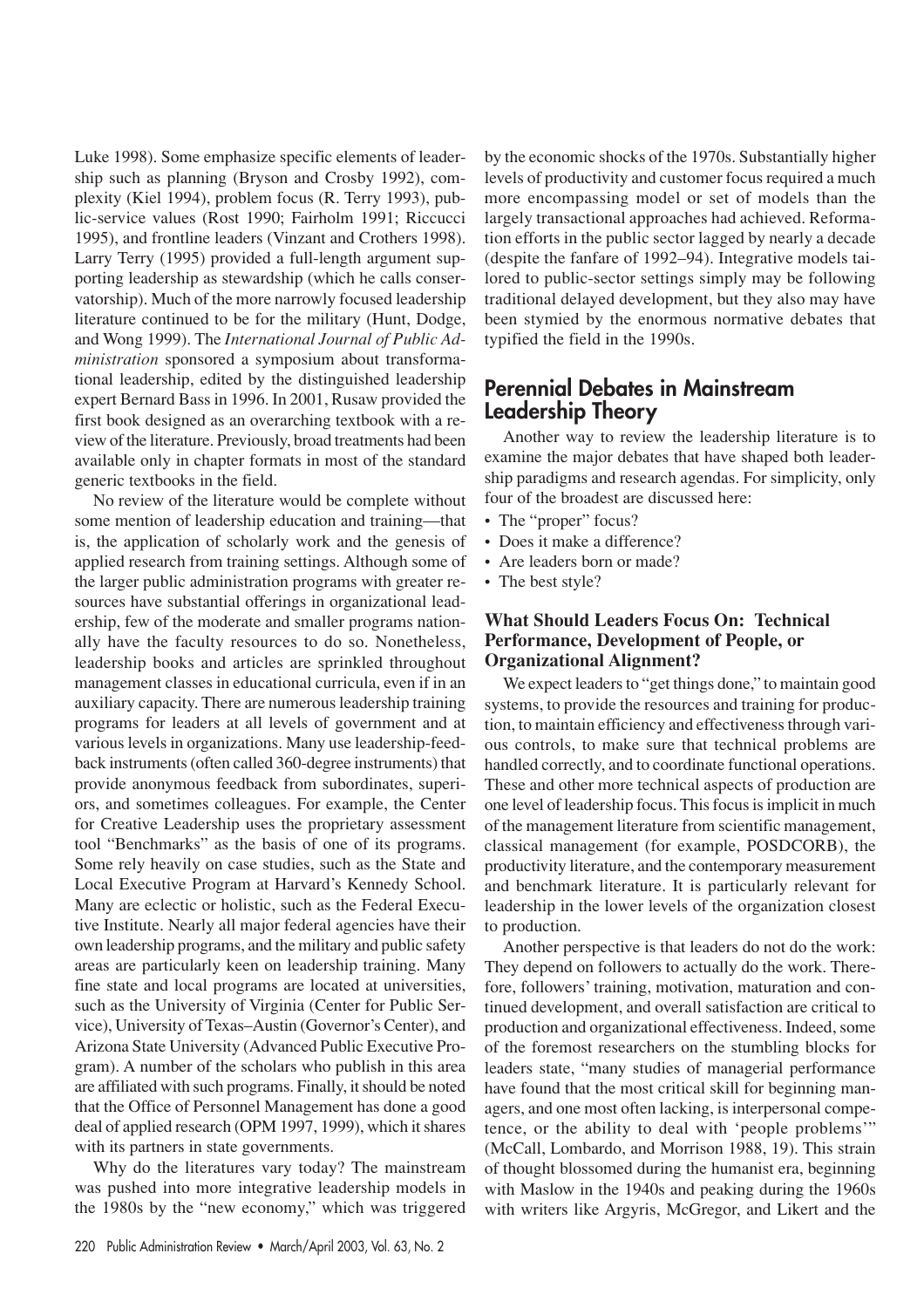Luke 1998). Some emphasize specific elements of leadership such as planning (Bryson and Crosby 1992), complexity (Kiel 1994), problem focus (R. Terry 1993), public-service values (Rost 1990; Fairholm 1991; Riccucci 1995), and frontline leaders (Vinzant and Crothers 1998). Larry Terry (1995) provided a full-length argument supporting leadership as stewardship (which he calls conservatorship). Much of the more narrowly focused leadership literature continued to be for the military (Hunt, Dodge, and Wong 1999). The *International Journal of Public Administration* sponsored a symposium about transformational leadership, edited by the distinguished leadership expert Bernard Bass in 1996. In 2001, Rusaw provided the first book designed as an overarching textbook with a review of the literature. Previously, broad treatments had been available only in chapter formats in most of the standard generic textbooks in the field.

No review of the literature would be complete without some mention of leadership education and training—that is, the application of scholarly work and the genesis of applied research from training settings. Although some of the larger public administration programs with greater resources have substantial offerings in organizational leadership, few of the moderate and smaller programs nationally have the faculty resources to do so. Nonetheless, leadership books and articles are sprinkled throughout management classes in educational curricula, even if in an auxiliary capacity. There are numerous leadership training programs for leaders at all levels of government and at various levels in organizations. Many use leadership-feedback instruments (often called 360-degree instruments) that provide anonymous feedback from subordinates, superiors, and sometimes colleagues. For example, the Center for Creative Leadership uses the proprietary assessment tool "Benchmarks" as the basis of one of its programs. Some rely heavily on case studies, such as the State and Local Executive Program at Harvard's Kennedy School. Many are eclectic or holistic, such as the Federal Executive Institute. Nearly all major federal agencies have their own leadership programs, and the military and public safety areas are particularly keen on leadership training. Many fine state and local programs are located at universities, such as the University of Virginia (Center for Public Service), University of Texas–Austin (Governor's Center), and Arizona State University (Advanced Public Executive Program). A number of the scholars who publish in this area are affiliated with such programs. Finally, it should be noted that the Office of Personnel Management has done a good deal of applied research (OPM 1997, 1999), which it shares with its partners in state governments.

Why do the literatures vary today? The mainstream was pushed into more integrative leadership models in the 1980s by the "new economy," which was triggered by the economic shocks of the 1970s. Substantially higher levels of productivity and customer focus required a much more encompassing model or set of models than the largely transactional approaches had achieved. Reformation efforts in the public sector lagged by nearly a decade (despite the fanfare of 1992–94). Integrative models tailored to public-sector settings simply may be following traditional delayed development, but they also may have been stymied by the enormous normative debates that typified the field in the 1990s.

## **Perennial Debates in Mainstream Leadership Theory**

Another way to review the leadership literature is to examine the major debates that have shaped both leadership paradigms and research agendas. For simplicity, only four of the broadest are discussed here:

- The "proper" focus?
- Does it make a difference?
- Are leaders born or made?
- The best style?

#### **What Should Leaders Focus On: Technical Performance, Development of People, or Organizational Alignment?**

We expect leaders to "get things done," to maintain good systems, to provide the resources and training for production, to maintain efficiency and effectiveness through various controls, to make sure that technical problems are handled correctly, and to coordinate functional operations. These and other more technical aspects of production are one level of leadership focus. This focus is implicit in much of the management literature from scientific management, classical management (for example, POSDCORB), the productivity literature, and the contemporary measurement and benchmark literature. It is particularly relevant for leadership in the lower levels of the organization closest to production.

Another perspective is that leaders do not do the work: They depend on followers to actually do the work. Therefore, followers' training, motivation, maturation and continued development, and overall satisfaction are critical to production and organizational effectiveness. Indeed, some of the foremost researchers on the stumbling blocks for leaders state, "many studies of managerial performance have found that the most critical skill for beginning managers, and one most often lacking, is interpersonal competence, or the ability to deal with 'people problems'" (McCall, Lombardo, and Morrison 1988, 19). This strain of thought blossomed during the humanist era, beginning with Maslow in the 1940s and peaking during the 1960s with writers like Argyris, McGregor, and Likert and the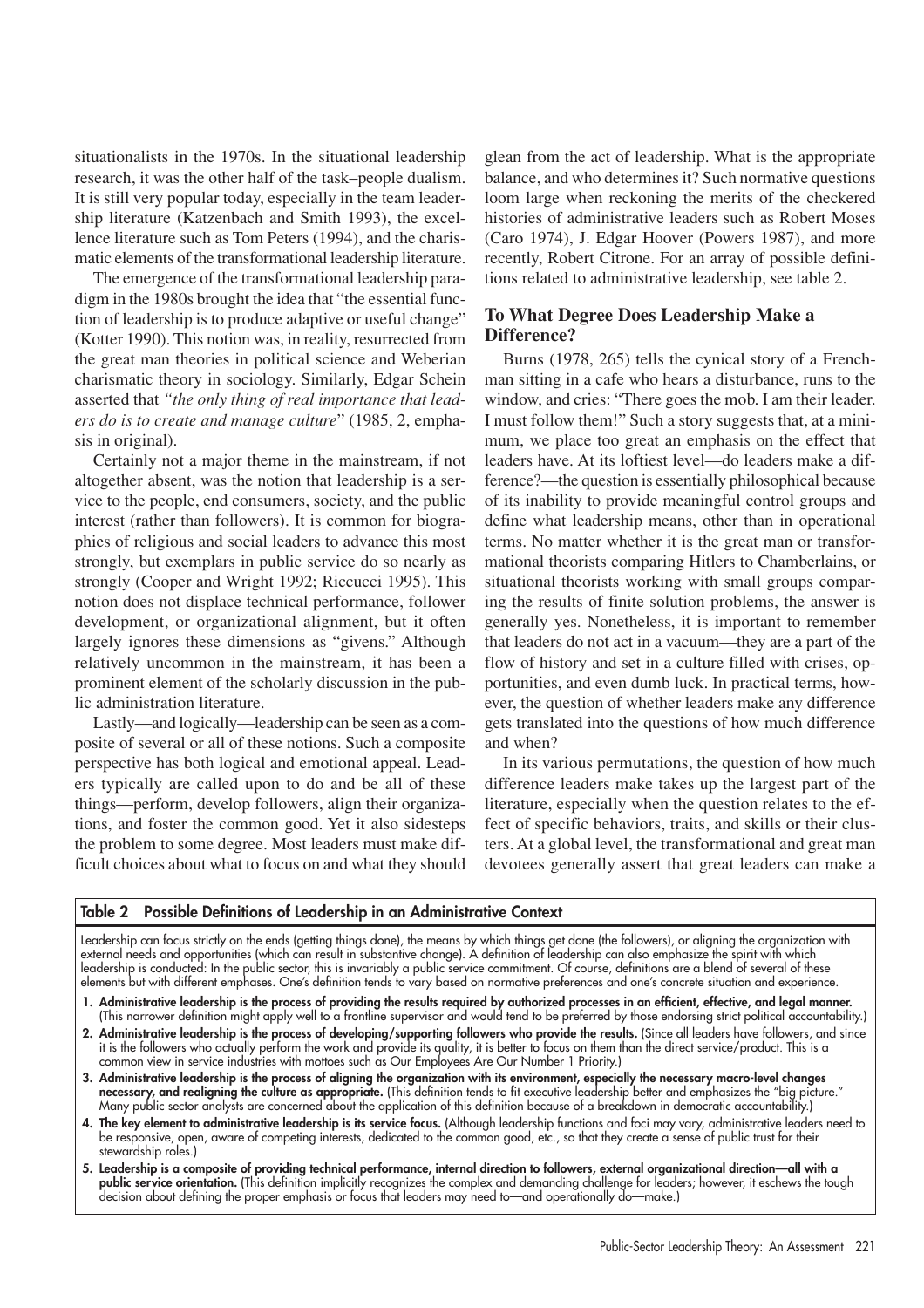situationalists in the 1970s. In the situational leadership research, it was the other half of the task–people dualism. It is still very popular today, especially in the team leadership literature (Katzenbach and Smith 1993), the excellence literature such as Tom Peters (1994), and the charismatic elements of the transformational leadership literature.

The emergence of the transformational leadership paradigm in the 1980s brought the idea that "the essential function of leadership is to produce adaptive or useful change" (Kotter 1990). This notion was, in reality, resurrected from the great man theories in political science and Weberian charismatic theory in sociology. Similarly, Edgar Schein asserted that *"the only thing of real importance that leaders do is to create and manage culture*" (1985, 2, emphasis in original).

Certainly not a major theme in the mainstream, if not altogether absent, was the notion that leadership is a service to the people, end consumers, society, and the public interest (rather than followers). It is common for biographies of religious and social leaders to advance this most strongly, but exemplars in public service do so nearly as strongly (Cooper and Wright 1992; Riccucci 1995). This notion does not displace technical performance, follower development, or organizational alignment, but it often largely ignores these dimensions as "givens." Although relatively uncommon in the mainstream, it has been a prominent element of the scholarly discussion in the public administration literature.

Lastly—and logically—leadership can be seen as a composite of several or all of these notions. Such a composite perspective has both logical and emotional appeal. Leaders typically are called upon to do and be all of these things—perform, develop followers, align their organizations, and foster the common good. Yet it also sidesteps the problem to some degree. Most leaders must make difficult choices about what to focus on and what they should glean from the act of leadership. What is the appropriate balance, and who determines it? Such normative questions loom large when reckoning the merits of the checkered histories of administrative leaders such as Robert Moses (Caro 1974), J. Edgar Hoover (Powers 1987), and more recently, Robert Citrone. For an array of possible definitions related to administrative leadership, see table 2.

## **To What Degree Does Leadership Make a Difference?**

Burns (1978, 265) tells the cynical story of a Frenchman sitting in a cafe who hears a disturbance, runs to the window, and cries: "There goes the mob. I am their leader. I must follow them!" Such a story suggests that, at a minimum, we place too great an emphasis on the effect that leaders have. At its loftiest level—do leaders make a difference?—the question is essentially philosophical because of its inability to provide meaningful control groups and define what leadership means, other than in operational terms. No matter whether it is the great man or transformational theorists comparing Hitlers to Chamberlains, or situational theorists working with small groups comparing the results of finite solution problems, the answer is generally yes. Nonetheless, it is important to remember that leaders do not act in a vacuum—they are a part of the flow of history and set in a culture filled with crises, opportunities, and even dumb luck. In practical terms, however, the question of whether leaders make any difference gets translated into the questions of how much difference and when?

In its various permutations, the question of how much difference leaders make takes up the largest part of the literature, especially when the question relates to the effect of specific behaviors, traits, and skills or their clusters. At a global level, the transformational and great man devotees generally assert that great leaders can make a

#### **Table 2 Possible Definitions of Leadership in an Administrative Context**

Leadership can focus strictly on the ends (getting things done), the means by which things get done (the followers), or aligning the organization with external needs and opportunities (which can result in substantive change). A definition of leadership can also emphasize the spirit with which leadership is conducted: In the public sector, this is invariably a public service commitment. Of course, definitions are a blend of several of these elements but with different emphases. One's definition tends to vary based on normative preferences and one's concrete situation and experience.

- **1. Administrative leadership is the process of providing the results required by authorized processes in an efficient, effective, and legal manner.** (This narrower definition might apply well to a frontline supervisor and would tend to be preferred by those endorsing strict political accountability.)
- **2. Administrative leadership is the process of developing/supporting followers who provide the results.** (Since all leaders have followers, and since it is the followers who actually perform the work and provide its quality, it is better to focus on them than the direct service/product. This is a common view in service industries with mottoes such as Our Employees Are Our Number 1 Priority.)
- **3. Administrative leadership is the process of aligning the organization with its environment, especially the necessary macro-level changes necessary, and realigning the culture as appropriate.** (This definition tends to fit executive leadership better and emphasizes the "big picture." Many public sector analysts are concerned about the application of this definition because of a breakdown in democratic accountability.)
- **4. The key element to administrative leadership is its service focus.** (Although leadership functions and foci may vary, administrative leaders need to be responsive, open, aware of competing interests, dedicated to the common good, etc., so that they create a sense of public trust for their stewardship roles.)
- **5. Leadership is a composite of providing technical performance, internal direction to followers, external organizational direction—all with a public service orientation.** (This definition implicitly recognizes the complex and demanding challenge for leaders; however, it eschews the tough decision about defining the proper emphasis or focus that leaders may need to—and operationally do—make.)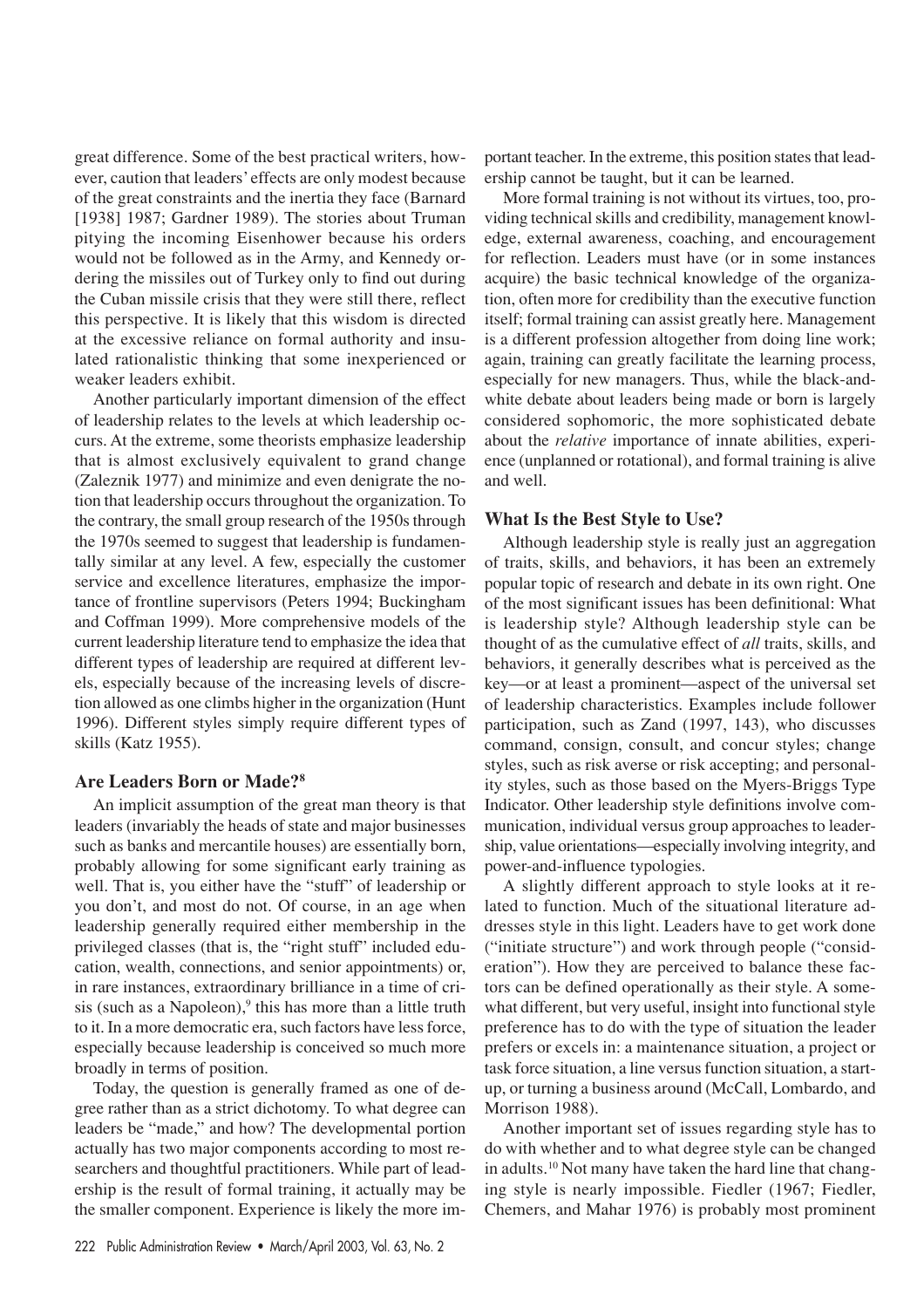great difference. Some of the best practical writers, however, caution that leaders' effects are only modest because of the great constraints and the inertia they face (Barnard [1938] 1987; Gardner 1989). The stories about Truman pitying the incoming Eisenhower because his orders would not be followed as in the Army, and Kennedy ordering the missiles out of Turkey only to find out during the Cuban missile crisis that they were still there, reflect this perspective. It is likely that this wisdom is directed at the excessive reliance on formal authority and insulated rationalistic thinking that some inexperienced or weaker leaders exhibit.

Another particularly important dimension of the effect of leadership relates to the levels at which leadership occurs. At the extreme, some theorists emphasize leadership that is almost exclusively equivalent to grand change (Zaleznik 1977) and minimize and even denigrate the notion that leadership occurs throughout the organization. To the contrary, the small group research of the 1950s through the 1970s seemed to suggest that leadership is fundamentally similar at any level. A few, especially the customer service and excellence literatures, emphasize the importance of frontline supervisors (Peters 1994; Buckingham and Coffman 1999). More comprehensive models of the current leadership literature tend to emphasize the idea that different types of leadership are required at different levels, especially because of the increasing levels of discretion allowed as one climbs higher in the organization (Hunt 1996). Different styles simply require different types of skills (Katz 1955).

#### **Are Leaders Born or Made?8**

An implicit assumption of the great man theory is that leaders (invariably the heads of state and major businesses such as banks and mercantile houses) are essentially born, probably allowing for some significant early training as well. That is, you either have the "stuff" of leadership or you don't, and most do not. Of course, in an age when leadership generally required either membership in the privileged classes (that is, the "right stuff" included education, wealth, connections, and senior appointments) or, in rare instances, extraordinary brilliance in a time of crisis (such as a Napoleon), $9$  this has more than a little truth to it. In a more democratic era, such factors have less force, especially because leadership is conceived so much more broadly in terms of position.

Today, the question is generally framed as one of degree rather than as a strict dichotomy. To what degree can leaders be "made," and how? The developmental portion actually has two major components according to most researchers and thoughtful practitioners. While part of leadership is the result of formal training, it actually may be the smaller component. Experience is likely the more important teacher. In the extreme, this position states that leadership cannot be taught, but it can be learned.

More formal training is not without its virtues, too, providing technical skills and credibility, management knowledge, external awareness, coaching, and encouragement for reflection. Leaders must have (or in some instances acquire) the basic technical knowledge of the organization, often more for credibility than the executive function itself; formal training can assist greatly here. Management is a different profession altogether from doing line work; again, training can greatly facilitate the learning process, especially for new managers. Thus, while the black-andwhite debate about leaders being made or born is largely considered sophomoric, the more sophisticated debate about the *relative* importance of innate abilities, experience (unplanned or rotational), and formal training is alive and well.

#### **What Is the Best Style to Use?**

Although leadership style is really just an aggregation of traits, skills, and behaviors, it has been an extremely popular topic of research and debate in its own right. One of the most significant issues has been definitional: What is leadership style? Although leadership style can be thought of as the cumulative effect of *all* traits, skills, and behaviors, it generally describes what is perceived as the key—or at least a prominent—aspect of the universal set of leadership characteristics. Examples include follower participation, such as Zand (1997, 143), who discusses command, consign, consult, and concur styles; change styles, such as risk averse or risk accepting; and personality styles, such as those based on the Myers-Briggs Type Indicator. Other leadership style definitions involve communication, individual versus group approaches to leadership, value orientations—especially involving integrity, and power-and-influence typologies.

A slightly different approach to style looks at it related to function. Much of the situational literature addresses style in this light. Leaders have to get work done ("initiate structure") and work through people ("consideration"). How they are perceived to balance these factors can be defined operationally as their style. A somewhat different, but very useful, insight into functional style preference has to do with the type of situation the leader prefers or excels in: a maintenance situation, a project or task force situation, a line versus function situation, a startup, or turning a business around (McCall, Lombardo, and Morrison 1988).

Another important set of issues regarding style has to do with whether and to what degree style can be changed in adults.10 Not many have taken the hard line that changing style is nearly impossible. Fiedler (1967; Fiedler, Chemers, and Mahar 1976) is probably most prominent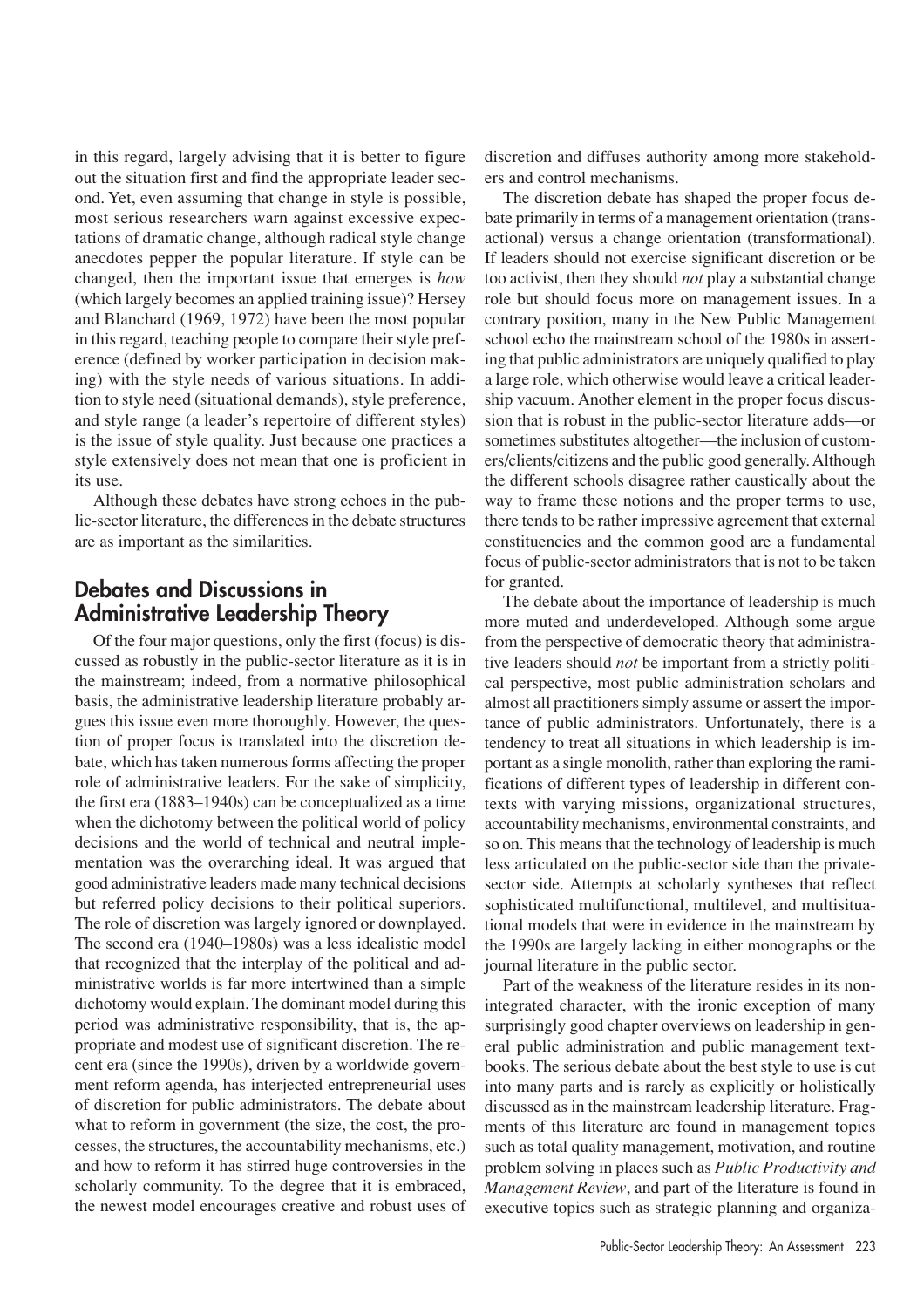in this regard, largely advising that it is better to figure out the situation first and find the appropriate leader second. Yet, even assuming that change in style is possible, most serious researchers warn against excessive expectations of dramatic change, although radical style change anecdotes pepper the popular literature. If style can be changed, then the important issue that emerges is *how* (which largely becomes an applied training issue)? Hersey and Blanchard (1969, 1972) have been the most popular in this regard, teaching people to compare their style preference (defined by worker participation in decision making) with the style needs of various situations. In addition to style need (situational demands), style preference, and style range (a leader's repertoire of different styles) is the issue of style quality. Just because one practices a style extensively does not mean that one is proficient in its use.

Although these debates have strong echoes in the public-sector literature, the differences in the debate structures are as important as the similarities.

## **Debates and Discussions in Administrative Leadership Theory**

Of the four major questions, only the first (focus) is discussed as robustly in the public-sector literature as it is in the mainstream; indeed, from a normative philosophical basis, the administrative leadership literature probably argues this issue even more thoroughly. However, the question of proper focus is translated into the discretion debate, which has taken numerous forms affecting the proper role of administrative leaders. For the sake of simplicity, the first era (1883–1940s) can be conceptualized as a time when the dichotomy between the political world of policy decisions and the world of technical and neutral implementation was the overarching ideal. It was argued that good administrative leaders made many technical decisions but referred policy decisions to their political superiors. The role of discretion was largely ignored or downplayed. The second era (1940–1980s) was a less idealistic model that recognized that the interplay of the political and administrative worlds is far more intertwined than a simple dichotomy would explain. The dominant model during this period was administrative responsibility, that is, the appropriate and modest use of significant discretion. The recent era (since the 1990s), driven by a worldwide government reform agenda, has interjected entrepreneurial uses of discretion for public administrators. The debate about what to reform in government (the size, the cost, the processes, the structures, the accountability mechanisms, etc.) and how to reform it has stirred huge controversies in the scholarly community. To the degree that it is embraced, the newest model encourages creative and robust uses of discretion and diffuses authority among more stakeholders and control mechanisms.

The discretion debate has shaped the proper focus debate primarily in terms of a management orientation (transactional) versus a change orientation (transformational). If leaders should not exercise significant discretion or be too activist, then they should *not* play a substantial change role but should focus more on management issues. In a contrary position, many in the New Public Management school echo the mainstream school of the 1980s in asserting that public administrators are uniquely qualified to play a large role, which otherwise would leave a critical leadership vacuum. Another element in the proper focus discussion that is robust in the public-sector literature adds—or sometimes substitutes altogether—the inclusion of customers/clients/citizens and the public good generally. Although the different schools disagree rather caustically about the way to frame these notions and the proper terms to use, there tends to be rather impressive agreement that external constituencies and the common good are a fundamental focus of public-sector administrators that is not to be taken for granted.

The debate about the importance of leadership is much more muted and underdeveloped. Although some argue from the perspective of democratic theory that administrative leaders should *not* be important from a strictly political perspective, most public administration scholars and almost all practitioners simply assume or assert the importance of public administrators. Unfortunately, there is a tendency to treat all situations in which leadership is important as a single monolith, rather than exploring the ramifications of different types of leadership in different contexts with varying missions, organizational structures, accountability mechanisms, environmental constraints, and so on. This means that the technology of leadership is much less articulated on the public-sector side than the privatesector side. Attempts at scholarly syntheses that reflect sophisticated multifunctional, multilevel, and multisituational models that were in evidence in the mainstream by the 1990s are largely lacking in either monographs or the journal literature in the public sector.

Part of the weakness of the literature resides in its nonintegrated character, with the ironic exception of many surprisingly good chapter overviews on leadership in general public administration and public management textbooks. The serious debate about the best style to use is cut into many parts and is rarely as explicitly or holistically discussed as in the mainstream leadership literature. Fragments of this literature are found in management topics such as total quality management, motivation, and routine problem solving in places such as *Public Productivity and Management Review*, and part of the literature is found in executive topics such as strategic planning and organiza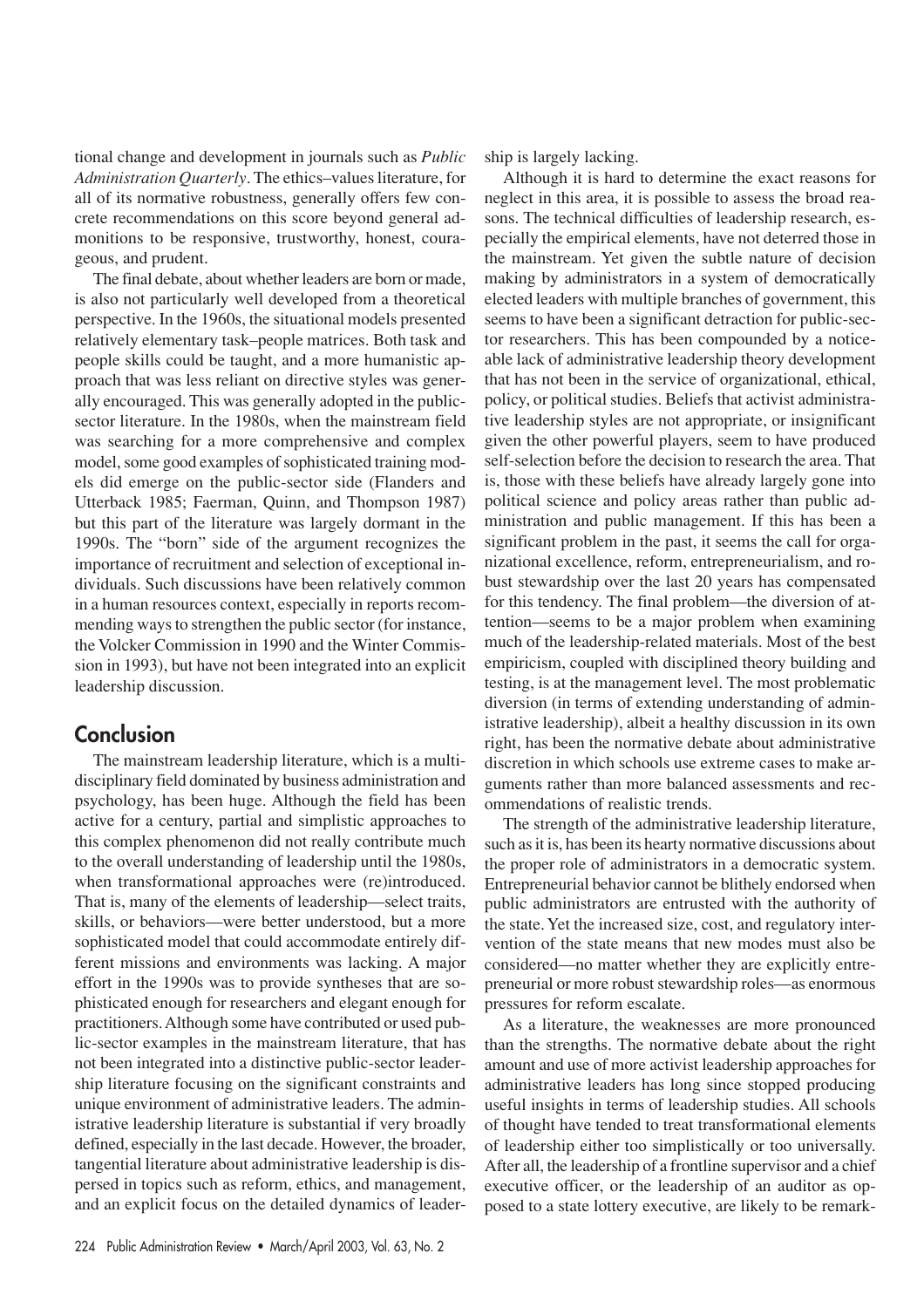tional change and development in journals such as *Public Administration Quarterly*. The ethics–values literature, for all of its normative robustness, generally offers few concrete recommendations on this score beyond general admonitions to be responsive, trustworthy, honest, courageous, and prudent.

The final debate, about whether leaders are born or made, is also not particularly well developed from a theoretical perspective. In the 1960s, the situational models presented relatively elementary task–people matrices. Both task and people skills could be taught, and a more humanistic approach that was less reliant on directive styles was generally encouraged. This was generally adopted in the publicsector literature. In the 1980s, when the mainstream field was searching for a more comprehensive and complex model, some good examples of sophisticated training models did emerge on the public-sector side (Flanders and Utterback 1985; Faerman, Quinn, and Thompson 1987) but this part of the literature was largely dormant in the 1990s. The "born" side of the argument recognizes the importance of recruitment and selection of exceptional individuals. Such discussions have been relatively common in a human resources context, especially in reports recommending ways to strengthen the public sector (for instance, the Volcker Commission in 1990 and the Winter Commission in 1993), but have not been integrated into an explicit leadership discussion.

# **Conclusion**

The mainstream leadership literature, which is a multidisciplinary field dominated by business administration and psychology, has been huge. Although the field has been active for a century, partial and simplistic approaches to this complex phenomenon did not really contribute much to the overall understanding of leadership until the 1980s, when transformational approaches were (re)introduced. That is, many of the elements of leadership—select traits, skills, or behaviors—were better understood, but a more sophisticated model that could accommodate entirely different missions and environments was lacking. A major effort in the 1990s was to provide syntheses that are sophisticated enough for researchers and elegant enough for practitioners. Although some have contributed or used public-sector examples in the mainstream literature, that has not been integrated into a distinctive public-sector leadership literature focusing on the significant constraints and unique environment of administrative leaders. The administrative leadership literature is substantial if very broadly defined, especially in the last decade. However, the broader, tangential literature about administrative leadership is dispersed in topics such as reform, ethics, and management, and an explicit focus on the detailed dynamics of leadership is largely lacking.

Although it is hard to determine the exact reasons for neglect in this area, it is possible to assess the broad reasons. The technical difficulties of leadership research, especially the empirical elements, have not deterred those in the mainstream. Yet given the subtle nature of decision making by administrators in a system of democratically elected leaders with multiple branches of government, this seems to have been a significant detraction for public-sector researchers. This has been compounded by a noticeable lack of administrative leadership theory development that has not been in the service of organizational, ethical, policy, or political studies. Beliefs that activist administrative leadership styles are not appropriate, or insignificant given the other powerful players, seem to have produced self-selection before the decision to research the area. That is, those with these beliefs have already largely gone into political science and policy areas rather than public administration and public management. If this has been a significant problem in the past, it seems the call for organizational excellence, reform, entrepreneurialism, and robust stewardship over the last 20 years has compensated for this tendency. The final problem—the diversion of attention—seems to be a major problem when examining much of the leadership-related materials. Most of the best empiricism, coupled with disciplined theory building and testing, is at the management level. The most problematic diversion (in terms of extending understanding of administrative leadership), albeit a healthy discussion in its own right, has been the normative debate about administrative discretion in which schools use extreme cases to make arguments rather than more balanced assessments and recommendations of realistic trends.

The strength of the administrative leadership literature, such as it is, has been its hearty normative discussions about the proper role of administrators in a democratic system. Entrepreneurial behavior cannot be blithely endorsed when public administrators are entrusted with the authority of the state. Yet the increased size, cost, and regulatory intervention of the state means that new modes must also be considered—no matter whether they are explicitly entrepreneurial or more robust stewardship roles—as enormous pressures for reform escalate.

As a literature, the weaknesses are more pronounced than the strengths. The normative debate about the right amount and use of more activist leadership approaches for administrative leaders has long since stopped producing useful insights in terms of leadership studies. All schools of thought have tended to treat transformational elements of leadership either too simplistically or too universally. After all, the leadership of a frontline supervisor and a chief executive officer, or the leadership of an auditor as opposed to a state lottery executive, are likely to be remark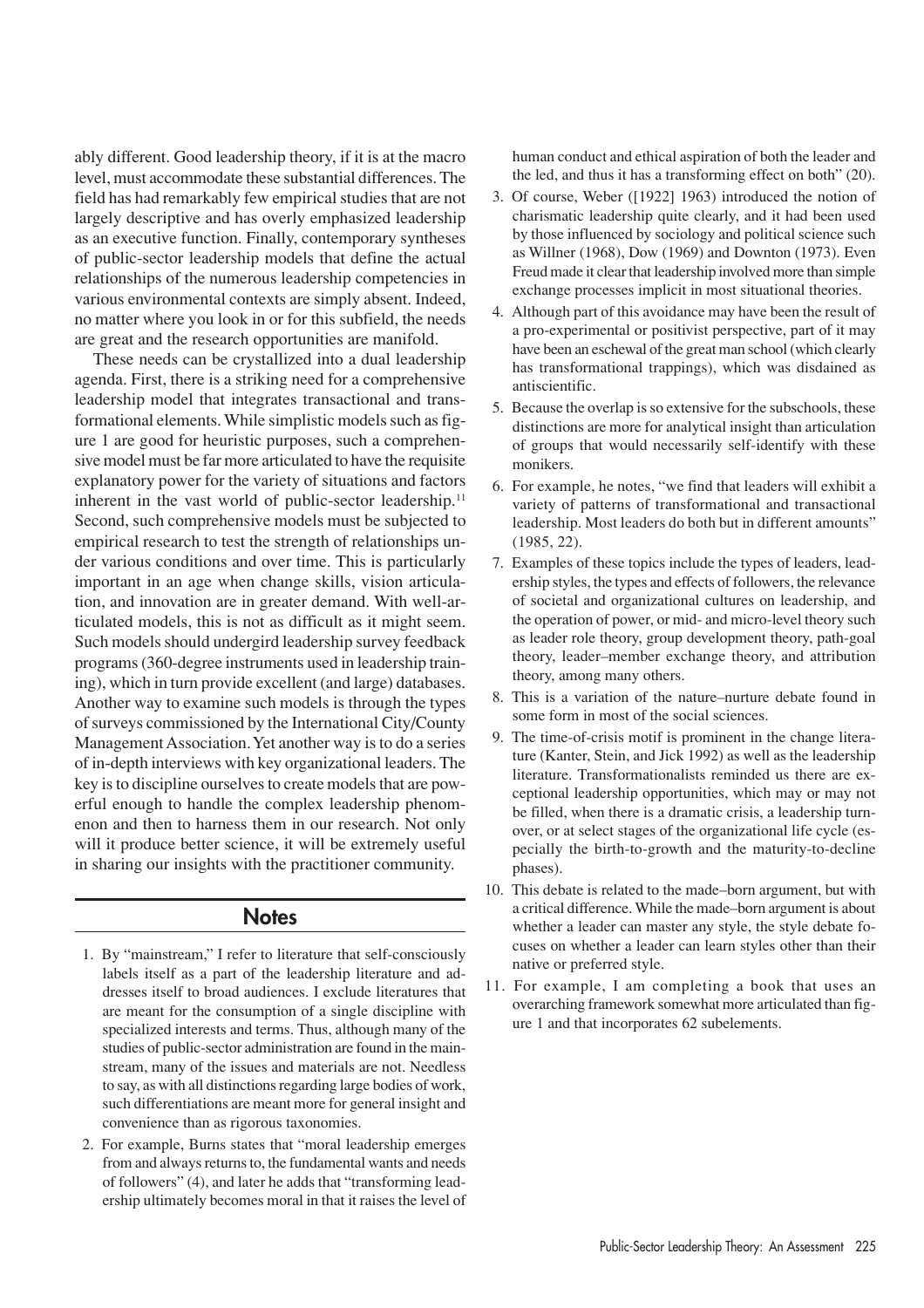ably different. Good leadership theory, if it is at the macro level, must accommodate these substantial differences. The field has had remarkably few empirical studies that are not largely descriptive and has overly emphasized leadership as an executive function. Finally, contemporary syntheses of public-sector leadership models that define the actual relationships of the numerous leadership competencies in various environmental contexts are simply absent. Indeed, no matter where you look in or for this subfield, the needs are great and the research opportunities are manifold.

These needs can be crystallized into a dual leadership agenda. First, there is a striking need for a comprehensive leadership model that integrates transactional and transformational elements. While simplistic models such as figure 1 are good for heuristic purposes, such a comprehensive model must be far more articulated to have the requisite explanatory power for the variety of situations and factors inherent in the vast world of public-sector leadership.<sup>11</sup> Second, such comprehensive models must be subjected to empirical research to test the strength of relationships under various conditions and over time. This is particularly important in an age when change skills, vision articulation, and innovation are in greater demand. With well-articulated models, this is not as difficult as it might seem. Such models should undergird leadership survey feedback programs (360-degree instruments used in leadership training), which in turn provide excellent (and large) databases. Another way to examine such models is through the types of surveys commissioned by the International City/County Management Association. Yet another way is to do a series of in-depth interviews with key organizational leaders. The key is to discipline ourselves to create models that are powerful enough to handle the complex leadership phenomenon and then to harness them in our research. Not only will it produce better science, it will be extremely useful in sharing our insights with the practitioner community.

## **Notes**

- 11. By "mainstream," I refer to literature that self-consciously labels itself as a part of the leadership literature and addresses itself to broad audiences. I exclude literatures that are meant for the consumption of a single discipline with specialized interests and terms. Thus, although many of the studies of public-sector administration are found in the mainstream, many of the issues and materials are not. Needless to say, as with all distinctions regarding large bodies of work, such differentiations are meant more for general insight and convenience than as rigorous taxonomies.
- 12. For example, Burns states that "moral leadership emerges from and always returns to, the fundamental wants and needs of followers" (4), and later he adds that "transforming leadership ultimately becomes moral in that it raises the level of

human conduct and ethical aspiration of both the leader and the led, and thus it has a transforming effect on both" (20).

- 13. Of course, Weber ([1922] 1963) introduced the notion of charismatic leadership quite clearly, and it had been used by those influenced by sociology and political science such as Willner (1968), Dow (1969) and Downton (1973). Even Freud made it clear that leadership involved more than simple exchange processes implicit in most situational theories.
- 14. Although part of this avoidance may have been the result of a pro-experimental or positivist perspective, part of it may have been an eschewal of the great man school (which clearly has transformational trappings), which was disdained as antiscientific.
- 15. Because the overlap is so extensive for the subschools, these distinctions are more for analytical insight than articulation of groups that would necessarily self-identify with these monikers.
- 16. For example, he notes, "we find that leaders will exhibit a variety of patterns of transformational and transactional leadership. Most leaders do both but in different amounts" (1985, 22).
- 17. Examples of these topics include the types of leaders, leadership styles, the types and effects of followers, the relevance of societal and organizational cultures on leadership, and the operation of power, or mid- and micro-level theory such as leader role theory, group development theory, path-goal theory, leader–member exchange theory, and attribution theory, among many others.
- 18. This is a variation of the nature–nurture debate found in some form in most of the social sciences.
- 19. The time-of-crisis motif is prominent in the change literature (Kanter, Stein, and Jick 1992) as well as the leadership literature. Transformationalists reminded us there are exceptional leadership opportunities, which may or may not be filled, when there is a dramatic crisis, a leadership turnover, or at select stages of the organizational life cycle (especially the birth-to-growth and the maturity-to-decline phases).
- 10. This debate is related to the made–born argument, but with a critical difference. While the made–born argument is about whether a leader can master any style, the style debate focuses on whether a leader can learn styles other than their native or preferred style.
- 11. For example, I am completing a book that uses an overarching framework somewhat more articulated than figure 1 and that incorporates 62 subelements.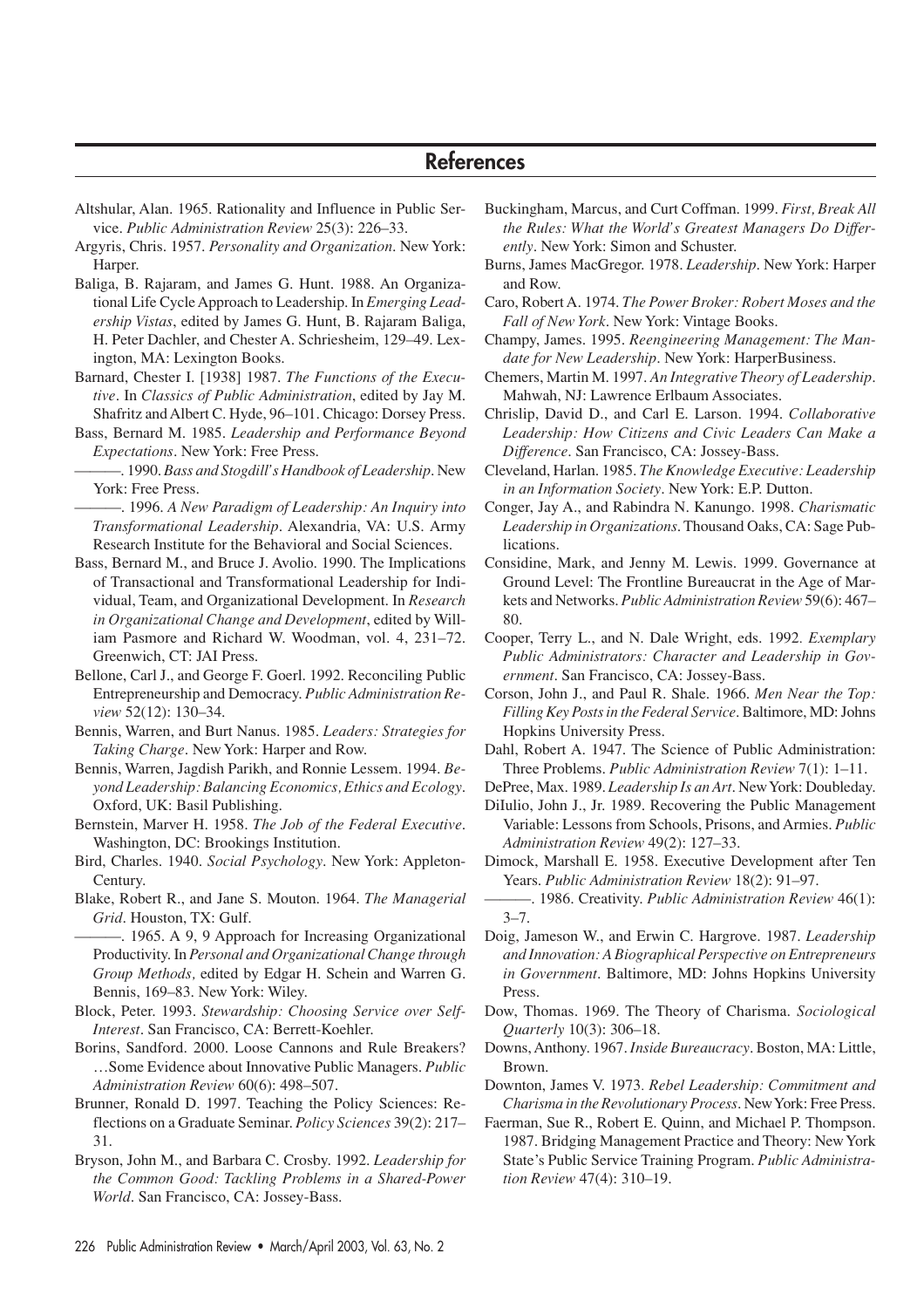## **References**

- Altshular, Alan. 1965. Rationality and Influence in Public Service. *Public Administration Review* 25(3): 226–33.
- Argyris, Chris. 1957. *Personality and Organization*. New York: Harper.
- Baliga, B. Rajaram, and James G. Hunt. 1988. An Organizational Life Cycle Approach to Leadership. In *Emerging Leadership Vistas*, edited by James G. Hunt, B. Rajaram Baliga, H. Peter Dachler, and Chester A. Schriesheim, 129–49. Lexington, MA: Lexington Books.
- Barnard, Chester I. [1938] 1987. *The Functions of the Executive*. In *Classics of Public Administration*, edited by Jay M. Shafritz and Albert C. Hyde, 96–101. Chicago: Dorsey Press.
- Bass, Bernard M. 1985. *Leadership and Performance Beyond Expectations*. New York: Free Press.
	- ———. 1990. *Bass and Stogdill's Handbook of Leadership*. New York: Free Press.

———. 1996. *A New Paradigm of Leadership: An Inquiry into Transformational Leadership*. Alexandria, VA: U.S. Army Research Institute for the Behavioral and Social Sciences.

- Bass, Bernard M., and Bruce J. Avolio. 1990. The Implications of Transactional and Transformational Leadership for Individual, Team, and Organizational Development. In *Research in Organizational Change and Development*, edited by William Pasmore and Richard W. Woodman, vol. 4, 231–72. Greenwich, CT: JAI Press.
- Bellone, Carl J., and George F. Goerl. 1992. Reconciling Public Entrepreneurship and Democracy. *Public Administration Review* 52(12): 130–34.
- Bennis, Warren, and Burt Nanus. 1985. *Leaders: Strategies for Taking Charge*. New York: Harper and Row.
- Bennis, Warren, Jagdish Parikh, and Ronnie Lessem. 1994. *Beyond Leadership: Balancing Economics, Ethics and Ecology*. Oxford, UK: Basil Publishing.
- Bernstein, Marver H. 1958. *The Job of the Federal Executive*. Washington, DC: Brookings Institution.
- Bird, Charles. 1940. *Social Psychology*. New York: Appleton-Century.
- Blake, Robert R., and Jane S. Mouton. 1964. *The Managerial Grid*. Houston, TX: Gulf.
- ———. 1965. A 9, 9 Approach for Increasing Organizational Productivity. In *Personal and Organizational Change through Group Methods,* edited by Edgar H. Schein and Warren G. Bennis, 169–83. New York: Wiley.
- Block, Peter. 1993. *Stewardship: Choosing Service over Self-Interest*. San Francisco, CA: Berrett-Koehler.
- Borins, Sandford. 2000. Loose Cannons and Rule Breakers? …Some Evidence about Innovative Public Managers. *Public Administration Review* 60(6): 498–507.
- Brunner, Ronald D. 1997. Teaching the Policy Sciences: Reflections on a Graduate Seminar. *Policy Sciences* 39(2): 217– 31.
- Bryson, John M., and Barbara C. Crosby. 1992. *Leadership for the Common Good: Tackling Problems in a Shared-Power World*. San Francisco, CA: Jossey-Bass.
- Buckingham, Marcus, and Curt Coffman. 1999. *First, Break All the Rules: What the World's Greatest Managers Do Differently*. New York: Simon and Schuster.
- Burns, James MacGregor. 1978. *Leadership*. New York: Harper and Row.
- Caro, Robert A. 1974. *The Power Broker: Robert Moses and the Fall of New York*. New York: Vintage Books.
- Champy, James. 1995. *Reengineering Management: The Mandate for New Leadership*. New York: HarperBusiness.
- Chemers, Martin M. 1997. *An Integrative Theory of Leadership*. Mahwah, NJ: Lawrence Erlbaum Associates.
- Chrislip, David D., and Carl E. Larson. 1994. *Collaborative Leadership: How Citizens and Civic Leaders Can Make a Difference*. San Francisco, CA: Jossey-Bass.
- Cleveland, Harlan. 1985. *The Knowledge Executive: Leadership in an Information Society*. New York: E.P. Dutton.
- Conger, Jay A., and Rabindra N. Kanungo. 1998. *Charismatic Leadership in Organizations*. Thousand Oaks, CA: Sage Pub**lications**
- Considine, Mark, and Jenny M. Lewis. 1999. Governance at Ground Level: The Frontline Bureaucrat in the Age of Markets and Networks. *Public Administration Review* 59(6): 467– 80.
- Cooper, Terry L., and N. Dale Wright, eds. 1992*. Exemplary Public Administrators: Character and Leadership in Government*. San Francisco, CA: Jossey-Bass.
- Corson, John J., and Paul R. Shale. 1966. *Men Near the Top: Filling Key Posts in the Federal Service*. Baltimore, MD: Johns Hopkins University Press.
- Dahl, Robert A. 1947. The Science of Public Administration: Three Problems. *Public Administration Review* 7(1): 1–11.
- DePree, Max. 1989. *Leadership Is an Art*. New York: Doubleday.
- DiIulio, John J., Jr. 1989. Recovering the Public Management Variable: Lessons from Schools, Prisons, and Armies. *Public Administration Review* 49(2): 127–33.
- Dimock, Marshall E. 1958. Executive Development after Ten Years. *Public Administration Review* 18(2): 91–97.
- ———. 1986. Creativity. *Public Administration Review* 46(1):  $3 - 7$ .
- Doig, Jameson W., and Erwin C. Hargrove. 1987. *Leadership and Innovation: A Biographical Perspective on Entrepreneurs in Government*. Baltimore, MD: Johns Hopkins University Press.
- Dow, Thomas. 1969. The Theory of Charisma. *Sociological Quarterly* 10(3): 306–18.
- Downs, Anthony. 1967. *Inside Bureaucracy*. Boston, MA: Little, Brown.
- Downton, James V. 1973*. Rebel Leadership: Commitment and Charisma in the Revolutionary Process*. New York: Free Press.
- Faerman, Sue R., Robert E. Quinn, and Michael P. Thompson. 1987. Bridging Management Practice and Theory: New York State's Public Service Training Program. *Public Administration Review* 47(4): 310–19.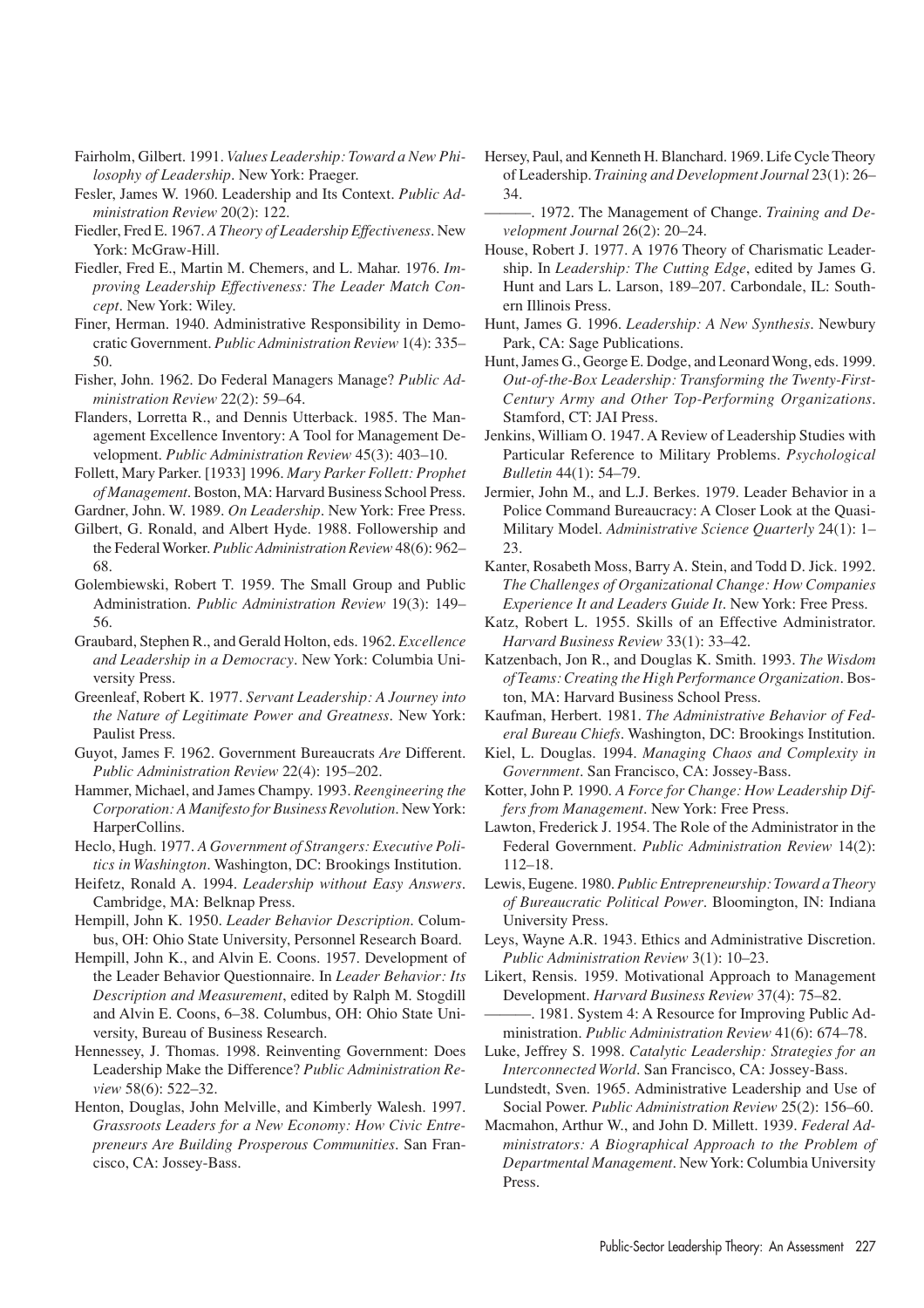- Fairholm, Gilbert. 1991. *Values Leadership: Toward a New Philosophy of Leadership*. New York: Praeger.
- Fesler, James W. 1960. Leadership and Its Context. *Public Administration Review* 20(2): 122.
- Fiedler, Fred E. 1967. *A Theory of Leadership Effectiveness*. New York: McGraw-Hill.
- Fiedler, Fred E., Martin M. Chemers, and L. Mahar. 1976. *Improving Leadership Effectiveness: The Leader Match Concept*. New York: Wiley.
- Finer, Herman. 1940. Administrative Responsibility in Democratic Government. *Public Administration Review* 1(4): 335– 50.
- Fisher, John. 1962. Do Federal Managers Manage? *Public Administration Review* 22(2): 59–64.
- Flanders, Lorretta R., and Dennis Utterback. 1985. The Management Excellence Inventory: A Tool for Management Development. *Public Administration Review* 45(3): 403–10.
- Follett, Mary Parker. [1933] 1996. *Mary Parker Follett: Prophet of Management*. Boston, MA: Harvard Business School Press.
- Gardner, John. W. 1989. *On Leadership*. New York: Free Press.
- Gilbert, G. Ronald, and Albert Hyde. 1988. Followership and the Federal Worker. *Public Administration Review* 48(6): 962– 68.
- Golembiewski, Robert T. 1959. The Small Group and Public Administration. *Public Administration Review* 19(3): 149– 56.
- Graubard, Stephen R., and Gerald Holton, eds. 1962. *Excellence and Leadership in a Democracy*. New York: Columbia University Press.
- Greenleaf, Robert K. 1977. *Servant Leadership: A Journey into the Nature of Legitimate Power and Greatness*. New York: Paulist Press.
- Guyot, James F. 1962. Government Bureaucrats *Are* Different. *Public Administration Review* 22(4): 195–202.
- Hammer, Michael, and James Champy. 1993. *Reengineering the Corporation: A Manifesto for Business Revolution*. New York: HarperCollins.
- Heclo, Hugh. 1977. *A Government of Strangers: Executive Politics in Washington*. Washington, DC: Brookings Institution.
- Heifetz, Ronald A. 1994. *Leadership without Easy Answers*. Cambridge, MA: Belknap Press.
- Hempill, John K. 1950. *Leader Behavior Description*. Columbus, OH: Ohio State University, Personnel Research Board.
- Hempill, John K., and Alvin E. Coons. 1957. Development of the Leader Behavior Questionnaire. In *Leader Behavior: Its Description and Measurement*, edited by Ralph M. Stogdill and Alvin E. Coons, 6–38. Columbus, OH: Ohio State University, Bureau of Business Research.
- Hennessey, J. Thomas. 1998. Reinventing Government: Does Leadership Make the Difference? *Public Administration Review* 58(6): 522–32.
- Henton, Douglas, John Melville, and Kimberly Walesh. 1997. *Grassroots Leaders for a New Economy: How Civic Entrepreneurs Are Building Prosperous Communities*. San Francisco, CA: Jossey-Bass.

Hersey, Paul, and Kenneth H. Blanchard. 1969. Life Cycle Theory of Leadership. *Training and Development Journal* 23(1): 26– 34.

———. 1972. The Management of Change. *Training and Development Journal* 26(2): 20–24.

- House, Robert J. 1977. A 1976 Theory of Charismatic Leadership. In *Leadership: The Cutting Edge*, edited by James G. Hunt and Lars L. Larson, 189–207. Carbondale, IL: Southern Illinois Press.
- Hunt, James G. 1996. *Leadership: A New Synthesis*. Newbury Park, CA: Sage Publications.
- Hunt, James G., George E. Dodge, and Leonard Wong, eds. 1999. *Out-of-the-Box Leadership: Transforming the Twenty-First-Century Army and Other Top-Performing Organizations*. Stamford, CT: JAI Press.
- Jenkins, William O. 1947. A Review of Leadership Studies with Particular Reference to Military Problems. *Psychological Bulletin* 44(1): 54–79.
- Jermier, John M., and L.J. Berkes. 1979. Leader Behavior in a Police Command Bureaucracy: A Closer Look at the Quasi-Military Model. *Administrative Science Quarterly* 24(1): 1– 23.
- Kanter, Rosabeth Moss, Barry A. Stein, and Todd D. Jick. 1992. *The Challenges of Organizational Change: How Companies Experience It and Leaders Guide It*. New York: Free Press.
- Katz, Robert L. 1955. Skills of an Effective Administrator. *Harvard Business Review* 33(1): 33–42.
- Katzenbach, Jon R., and Douglas K. Smith. 1993. *The Wisdom of Teams: Creating the High Performance Organization*. Boston, MA: Harvard Business School Press.
- Kaufman, Herbert. 1981. *The Administrative Behavior of Federal Bureau Chiefs*. Washington, DC: Brookings Institution.
- Kiel, L. Douglas. 1994. *Managing Chaos and Complexity in Government*. San Francisco, CA: Jossey-Bass.
- Kotter, John P. 1990. *A Force for Change: How Leadership Differs from Management*. New York: Free Press.
- Lawton, Frederick J. 1954. The Role of the Administrator in the Federal Government. *Public Administration Review* 14(2): 112–18.
- Lewis, Eugene. 1980. *Public Entrepreneurship: Toward a Theory of Bureaucratic Political Power*. Bloomington, IN: Indiana University Press.
- Leys, Wayne A.R. 1943. Ethics and Administrative Discretion. *Public Administration Review* 3(1): 10–23.
- Likert, Rensis. 1959. Motivational Approach to Management Development. *Harvard Business Review* 37(4): 75–82.
- -. 1981. System 4: A Resource for Improving Public Administration. *Public Administration Review* 41(6): 674–78.
- Luke, Jeffrey S. 1998. *Catalytic Leadership: Strategies for an Interconnected World*. San Francisco, CA: Jossey-Bass.
- Lundstedt, Sven. 1965. Administrative Leadership and Use of Social Power. *Public Administration Review* 25(2): 156–60.
- Macmahon, Arthur W., and John D. Millett. 1939. *Federal Administrators: A Biographical Approach to the Problem of Departmental Management*. New York: Columbia University Press.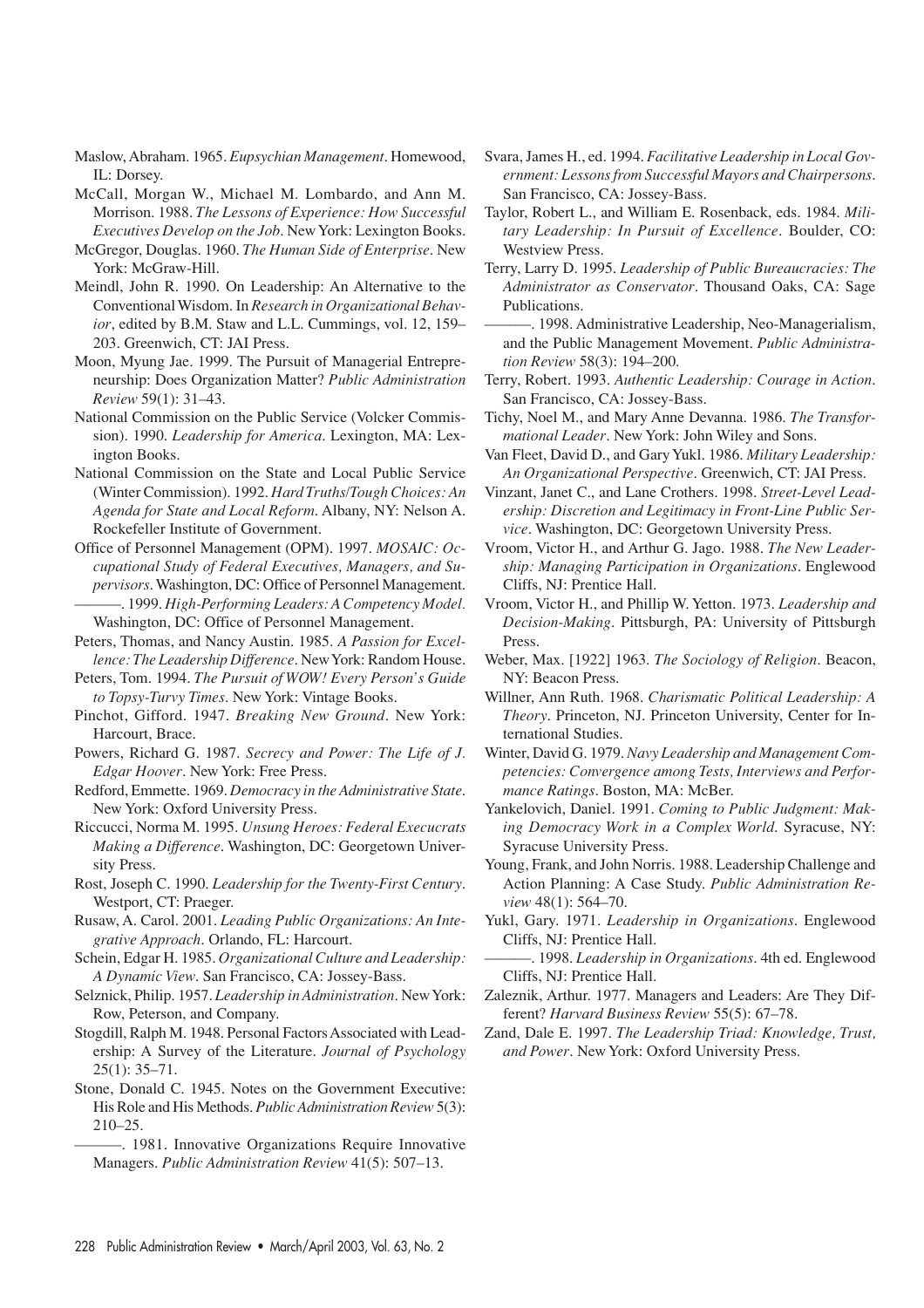- Maslow, Abraham. 1965. *Eupsychian Management*. Homewood, IL: Dorsey.
- McCall, Morgan W., Michael M. Lombardo, and Ann M. Morrison. 1988. *The Lessons of Experience: How Successful Executives Develop on the Job*. New York: Lexington Books.
- McGregor, Douglas. 1960. *The Human Side of Enterprise*. New York: McGraw-Hill.
- Meindl, John R. 1990. On Leadership: An Alternative to the Conventional Wisdom. In *Research in Organizational Behavior*, edited by B.M. Staw and L.L. Cummings, vol. 12, 159– 203. Greenwich, CT: JAI Press.
- Moon, Myung Jae. 1999. The Pursuit of Managerial Entrepreneurship: Does Organization Matter? *Public Administration Review* 59(1): 31–43.
- National Commission on the Public Service (Volcker Commission). 1990. *Leadership for America*. Lexington, MA: Lexington Books.
- National Commission on the State and Local Public Service (Winter Commission). 1992. *Hard Truths/Tough Choices: An Agenda for State and Local Reform*. Albany, NY: Nelson A. Rockefeller Institute of Government.
- Office of Personnel Management (OPM). 1997. *MOSAIC: Occupational Study of Federal Executives, Managers, and Supervisors*. Washington, DC: Office of Personnel Management. ———. 1999. *High-Performing Leaders: A Competency Model.* Washington, DC: Office of Personnel Management.
- Peters, Thomas, and Nancy Austin. 1985. *A Passion for Excellence: The Leadership Difference*. New York: Random House.
- Peters, Tom. 1994. *The Pursuit of WOW! Every Person's Guide to Topsy-Turvy Times*. New York: Vintage Books.
- Pinchot, Gifford. 1947. *Breaking New Ground*. New York: Harcourt, Brace.
- Powers, Richard G. 1987. *Secrecy and Power: The Life of J. Edgar Hoover*. New York: Free Press.
- Redford, Emmette. 1969. *Democracy in the Administrative State*. New York: Oxford University Press.
- Riccucci, Norma M. 1995. *Unsung Heroes: Federal Execucrats Making a Difference*. Washington, DC: Georgetown University Press.
- Rost, Joseph C. 1990. *Leadership for the Twenty-First Century*. Westport, CT: Praeger.
- Rusaw, A. Carol. 2001. *Leading Public Organizations: An Integrative Approach*. Orlando, FL: Harcourt.
- Schein, Edgar H. 1985. *Organizational Culture and Leadership: A Dynamic View*. San Francisco, CA: Jossey-Bass.
- Selznick, Philip. 1957. *Leadership in Administration*. New York: Row, Peterson, and Company.
- Stogdill, Ralph M. 1948. Personal Factors Associated with Leadership: A Survey of the Literature. *Journal of Psychology* 25(1): 35–71.
- Stone, Donald C. 1945. Notes on the Government Executive: His Role and His Methods. *Public Administration Review* 5(3): 210–25.
	- ———. 1981. Innovative Organizations Require Innovative Managers. *Public Administration Review* 41(5): 507–13.
- Svara, James H., ed. 1994. *Facilitative Leadership in Local Government: Lessons from Successful Mayors and Chairpersons*. San Francisco, CA: Jossey-Bass.
- Taylor, Robert L., and William E. Rosenback, eds. 1984. *Military Leadership: In Pursuit of Excellence*. Boulder, CO: Westview Press.
- Terry, Larry D. 1995. *Leadership of Public Bureaucracies: The Administrator as Conservator*. Thousand Oaks, CA: Sage Publications.
- -. 1998. Administrative Leadership, Neo-Managerialism, and the Public Management Movement. *Public Administration Review* 58(3): 194–200.
- Terry, Robert. 1993. *Authentic Leadership: Courage in Action*. San Francisco, CA: Jossey-Bass.
- Tichy, Noel M., and Mary Anne Devanna. 1986. *The Transformational Leader*. New York: John Wiley and Sons.
- Van Fleet, David D., and Gary Yukl. 1986. *Military Leadership: An Organizational Perspective*. Greenwich, CT: JAI Press.
- Vinzant, Janet C., and Lane Crothers. 1998. *Street-Level Leadership: Discretion and Legitimacy in Front-Line Public Service*. Washington, DC: Georgetown University Press.
- Vroom, Victor H., and Arthur G. Jago. 1988. *The New Leadership: Managing Participation in Organizations*. Englewood Cliffs, NJ: Prentice Hall.
- Vroom, Victor H., and Phillip W. Yetton. 1973. *Leadership and Decision-Making*. Pittsburgh, PA: University of Pittsburgh Press.
- Weber, Max. [1922] 1963. *The Sociology of Religion*. Beacon, NY: Beacon Press.
- Willner, Ann Ruth. 1968. *Charismatic Political Leadership: A Theory*. Princeton, NJ. Princeton University, Center for International Studies.
- Winter, David G. 1979. *Navy Leadership and Management Competencies: Convergence among Tests, Interviews and Performance Ratings*. Boston, MA: McBer.
- Yankelovich, Daniel. 1991. *Coming to Public Judgment: Making Democracy Work in a Complex World*. Syracuse, NY: Syracuse University Press.
- Young, Frank, and John Norris. 1988. Leadership Challenge and Action Planning: A Case Study. *Public Administration Review* 48(1): 564–70.
- Yukl, Gary. 1971. *Leadership in Organizations*. Englewood Cliffs, NJ: Prentice Hall.
- ———. 1998. *Leadership in Organizations*. 4th ed. Englewood Cliffs, NJ: Prentice Hall.
- Zaleznik, Arthur. 1977. Managers and Leaders: Are They Different? *Harvard Business Review* 55(5): 67–78.
- Zand, Dale E. 1997. *The Leadership Triad: Knowledge, Trust, and Power*. New York: Oxford University Press.